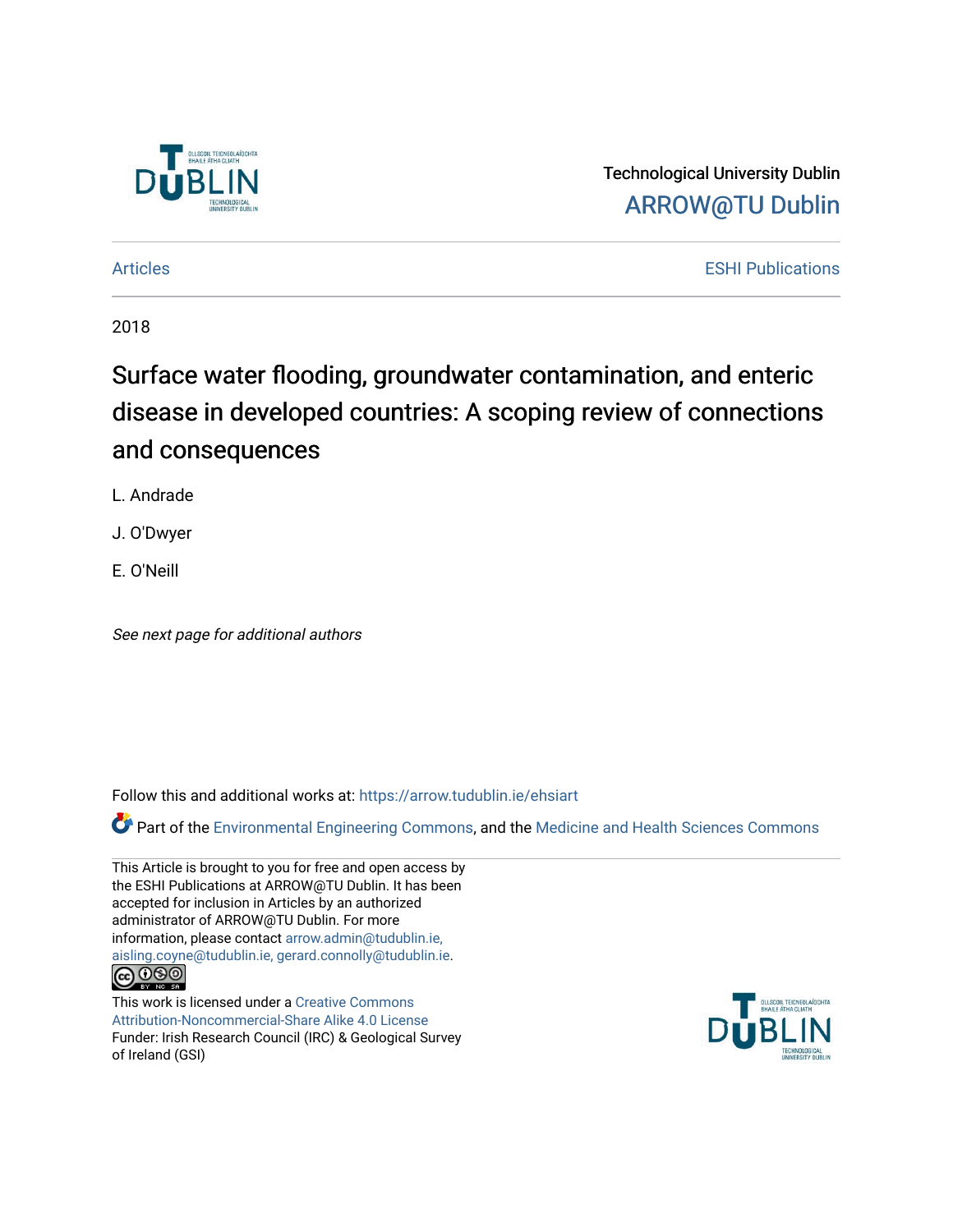

Technological University Dublin [ARROW@TU Dublin](https://arrow.tudublin.ie/) 

[Articles](https://arrow.tudublin.ie/ehsiart) **ESHI Publications ESHI Publications** 

2018

# Surface water flooding, groundwater contamination, and enteric disease in developed countries: A scoping review of connections and consequences

L. Andrade

J. O'Dwyer

E. O'Neill

See next page for additional authors

Follow this and additional works at: [https://arrow.tudublin.ie/ehsiart](https://arrow.tudublin.ie/ehsiart?utm_source=arrow.tudublin.ie%2Fehsiart%2F32&utm_medium=PDF&utm_campaign=PDFCoverPages) 

Part of the [Environmental Engineering Commons](http://network.bepress.com/hgg/discipline/254?utm_source=arrow.tudublin.ie%2Fehsiart%2F32&utm_medium=PDF&utm_campaign=PDFCoverPages), and the Medicine and Health Sciences Commons

This Article is brought to you for free and open access by the ESHI Publications at ARROW@TU Dublin. It has been accepted for inclusion in Articles by an authorized administrator of ARROW@TU Dublin. For more information, please contact [arrow.admin@tudublin.ie,](mailto:arrow.admin@tudublin.ie,%20aisling.coyne@tudublin.ie,%20gerard.connolly@tudublin.ie)  [aisling.coyne@tudublin.ie, gerard.connolly@tudublin.ie](mailto:arrow.admin@tudublin.ie,%20aisling.coyne@tudublin.ie,%20gerard.connolly@tudublin.ie). <u>@000</u>

This work is licensed under a [Creative Commons](http://creativecommons.org/licenses/by-nc-sa/4.0/) [Attribution-Noncommercial-Share Alike 4.0 License](http://creativecommons.org/licenses/by-nc-sa/4.0/) Funder: Irish Research Council (IRC) & Geological Survey of Ireland (GSI)

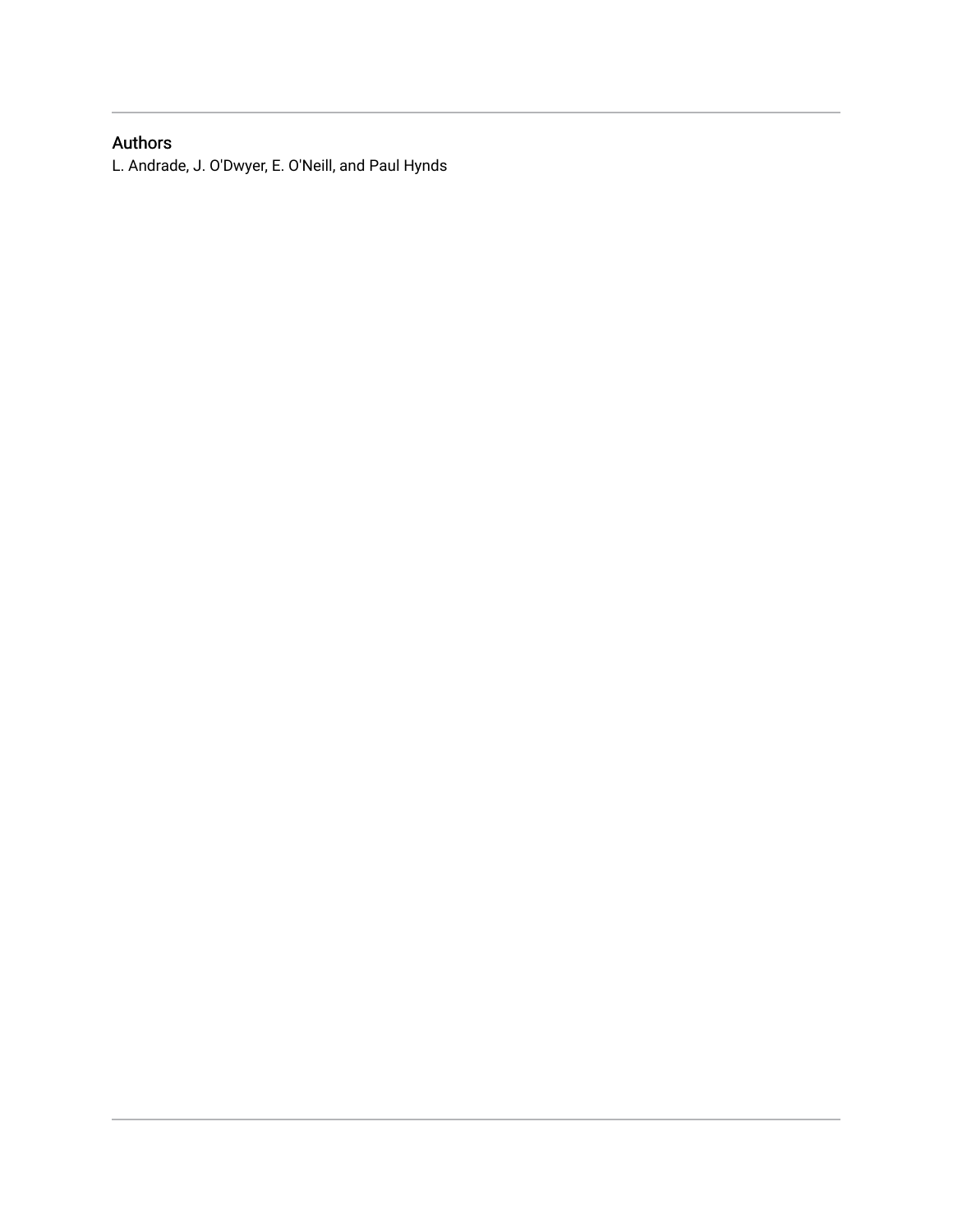### Authors

L. Andrade, J. O'Dwyer, E. O'Neill, and Paul Hynds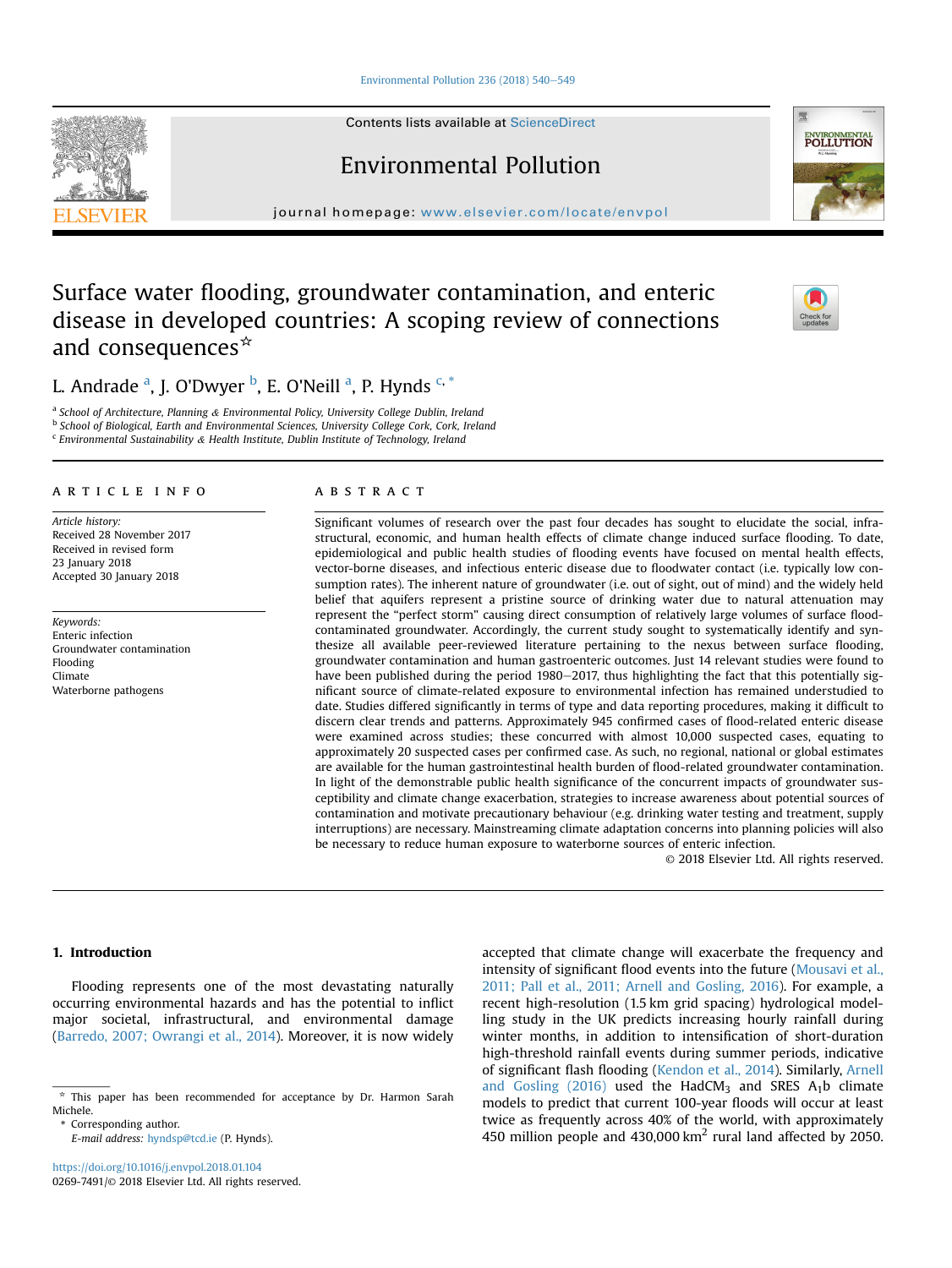Environmental Pollution 236 (2018)  $540-549$  $540-549$ 

Contents lists available at ScienceDirect

Environmental Pollution

journal homepage: [www.elsevier.com/locate/envpol](http://www.elsevier.com/locate/envpol)

## Surface water flooding, groundwater contamination, and enteric disease in developed countries: A scoping review of connections and consequences $*$

L. Andrade <sup>a</sup>, J. O'Dwyer <sup>b</sup>, E. O'Neill <sup>a</sup>, P. Hynds <sup>c, \*</sup>

<sup>a</sup> School of Architecture, Planning & Environmental Policy, University College Dublin, Ireland b School of Biological, Earth and Environmental Sciences, University College Cork, Cork, Ireland <sup>c</sup> Environmental Sustainability & Health Institute, Dublin Institute of Technology, Ireland

#### article info

Article history: Received 28 November 2017 Received in revised form 23 January 2018 Accepted 30 January 2018

Keywords: Enteric infection Groundwater contamination Flooding Climate Waterborne pathogens

#### **ABSTRACT**

Significant volumes of research over the past four decades has sought to elucidate the social, infrastructural, economic, and human health effects of climate change induced surface flooding. To date, epidemiological and public health studies of flooding events have focused on mental health effects, vector-borne diseases, and infectious enteric disease due to floodwater contact (i.e. typically low consumption rates). The inherent nature of groundwater (i.e. out of sight, out of mind) and the widely held belief that aquifers represent a pristine source of drinking water due to natural attenuation may represent the "perfect storm" causing direct consumption of relatively large volumes of surface floodcontaminated groundwater. Accordingly, the current study sought to systematically identify and synthesize all available peer-reviewed literature pertaining to the nexus between surface flooding, groundwater contamination and human gastroenteric outcomes. Just 14 relevant studies were found to have been published during the period 1980-2017, thus highlighting the fact that this potentially significant source of climate-related exposure to environmental infection has remained understudied to date. Studies differed significantly in terms of type and data reporting procedures, making it difficult to discern clear trends and patterns. Approximately 945 confirmed cases of flood-related enteric disease were examined across studies; these concurred with almost 10,000 suspected cases, equating to approximately 20 suspected cases per confirmed case. As such, no regional, national or global estimates are available for the human gastrointestinal health burden of flood-related groundwater contamination. In light of the demonstrable public health significance of the concurrent impacts of groundwater susceptibility and climate change exacerbation, strategies to increase awareness about potential sources of contamination and motivate precautionary behaviour (e.g. drinking water testing and treatment, supply interruptions) are necessary. Mainstreaming climate adaptation concerns into planning policies will also be necessary to reduce human exposure to waterborne sources of enteric infection.

© 2018 Elsevier Ltd. All rights reserved.

### 1. Introduction

Flooding represents one of the most devastating naturally occurring environmental hazards and has the potential to inflict major societal, infrastructural, and environmental damage ([Barredo, 2007; Owrangi et al., 2014](#page-10-0)). Moreover, it is now widely

Corresponding author.

E-mail address: [hyndsp@tcd.ie](mailto:hyndsp@tcd.ie) (P. Hynds).

accepted that climate change will exacerbate the frequency and intensity of significant flood events into the future [\(Mousavi et al.,](#page-11-0) [2011; Pall et al., 2011; Arnell and Gosling, 2016](#page-11-0)). For example, a recent high-resolution (1.5 km grid spacing) hydrological modelling study in the UK predicts increasing hourly rainfall during winter months, in addition to intensification of short-duration high-threshold rainfall events during summer periods, indicative of significant flash flooding [\(Kendon et al., 2014\)](#page-11-0). Similarly, [Arnell](#page-10-0) and Gosling  $(2016)$  used the HadCM<sub>3</sub> and SRES  $A_1b$  climate models to predict that current 100-year floods will occur at least twice as frequently across 40% of the world, with approximately 450 million people and 430,000 km<sup>2</sup> rural land affected by 2050.







 $*$  This paper has been recommended for acceptance by Dr. Harmon Sarah Michele.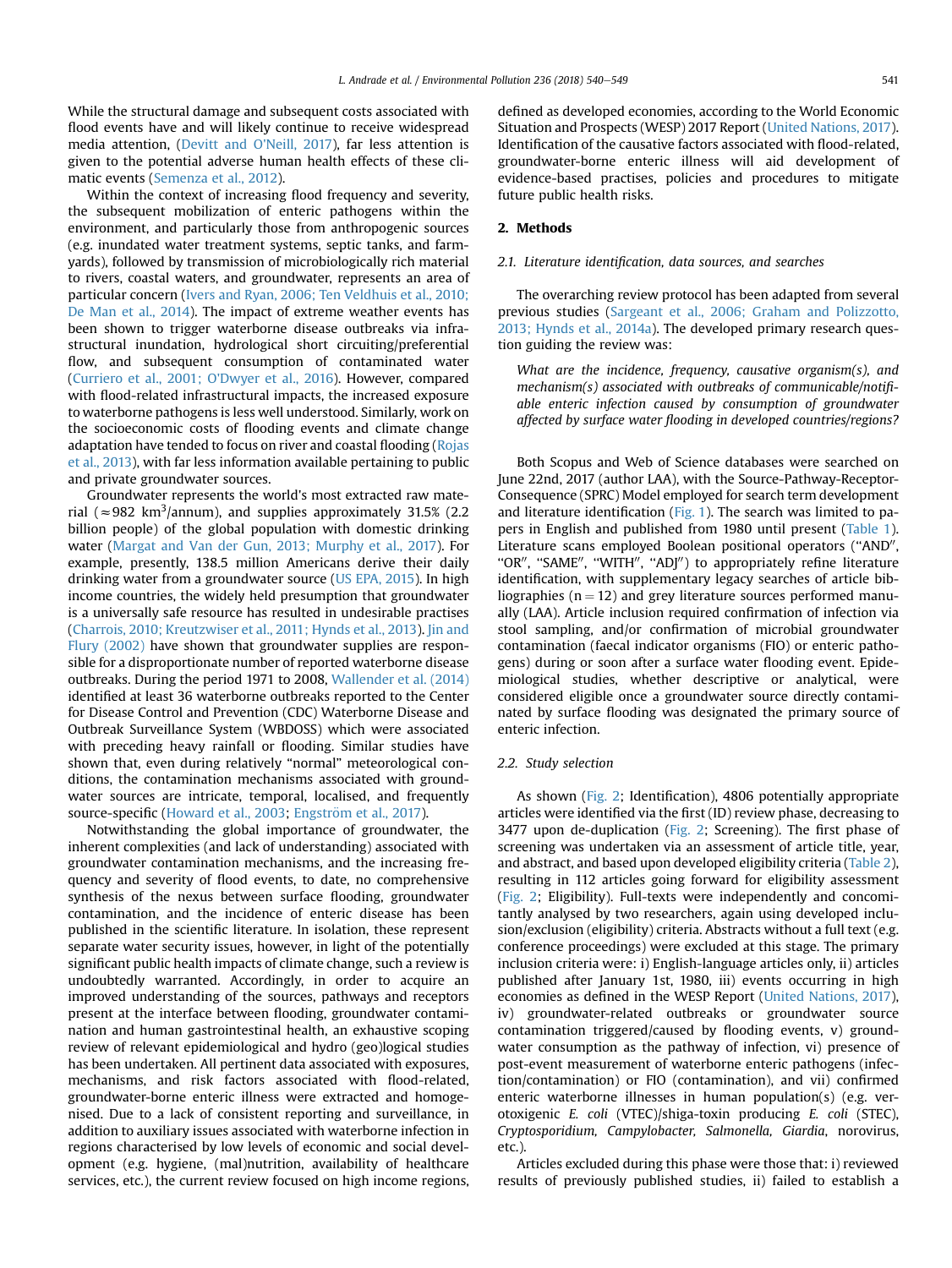While the structural damage and subsequent costs associated with flood events have and will likely continue to receive widespread media attention, [\(Devitt and O'Neill, 2017\)](#page-10-0), far less attention is given to the potential adverse human health effects of these climatic events [\(Semenza et al., 2012\)](#page-11-0).

Within the context of increasing flood frequency and severity, the subsequent mobilization of enteric pathogens within the environment, and particularly those from anthropogenic sources (e.g. inundated water treatment systems, septic tanks, and farmyards), followed by transmission of microbiologically rich material to rivers, coastal waters, and groundwater, represents an area of particular concern ([Ivers and Ryan, 2006; Ten Veldhuis et al., 2010;](#page-11-0) [De Man et al., 2014\)](#page-11-0). The impact of extreme weather events has been shown to trigger waterborne disease outbreaks via infrastructural inundation, hydrological short circuiting/preferential flow, and subsequent consumption of contaminated water ([Curriero et al., 2001; O'Dwyer et al., 2016\)](#page-10-0). However, compared with flood-related infrastructural impacts, the increased exposure to waterborne pathogens is less well understood. Similarly, work on the socioeconomic costs of flooding events and climate change adaptation have tended to focus on river and coastal flooding ([Rojas](#page-11-0) [et al., 2013\)](#page-11-0), with far less information available pertaining to public and private groundwater sources.

Groundwater represents the world's most extracted raw material ( $\approx$ 982 km<sup>3</sup>/annum), and supplies approximately 31.5% (2.2 billion people) of the global population with domestic drinking water ([Margat and Van der Gun, 2013; Murphy et al., 2017](#page-11-0)). For example, presently, 138.5 million Americans derive their daily drinking water from a groundwater source ([US EPA, 2015](#page-11-0)). In high income countries, the widely held presumption that groundwater is a universally safe resource has resulted in undesirable practises ([Charrois, 2010; Kreutzwiser et al., 2011; Hynds et al., 2013\)](#page-10-0). [Jin and](#page-11-0) [Flury \(2002\)](#page-11-0) have shown that groundwater supplies are responsible for a disproportionate number of reported waterborne disease outbreaks. During the period 1971 to 2008, [Wallender et al. \(2014\)](#page-11-0) identified at least 36 waterborne outbreaks reported to the Center for Disease Control and Prevention (CDC) Waterborne Disease and Outbreak Surveillance System (WBDOSS) which were associated with preceding heavy rainfall or flooding. Similar studies have shown that, even during relatively "normal" meteorological conditions, the contamination mechanisms associated with groundwater sources are intricate, temporal, localised, and frequently source-specific [\(Howard et al., 2003;](#page-11-0) [Engstr](#page-11-0)ö[m et al., 2017](#page-11-0)).

Notwithstanding the global importance of groundwater, the inherent complexities (and lack of understanding) associated with groundwater contamination mechanisms, and the increasing frequency and severity of flood events, to date, no comprehensive synthesis of the nexus between surface flooding, groundwater contamination, and the incidence of enteric disease has been published in the scientific literature. In isolation, these represent separate water security issues, however, in light of the potentially significant public health impacts of climate change, such a review is undoubtedly warranted. Accordingly, in order to acquire an improved understanding of the sources, pathways and receptors present at the interface between flooding, groundwater contamination and human gastrointestinal health, an exhaustive scoping review of relevant epidemiological and hydro (geo)logical studies has been undertaken. All pertinent data associated with exposures, mechanisms, and risk factors associated with flood-related, groundwater-borne enteric illness were extracted and homogenised. Due to a lack of consistent reporting and surveillance, in addition to auxiliary issues associated with waterborne infection in regions characterised by low levels of economic and social development (e.g. hygiene, (mal)nutrition, availability of healthcare services, etc.), the current review focused on high income regions, defined as developed economies, according to the World Economic Situation and Prospects (WESP) 2017 Report [\(United Nations, 2017\)](#page-11-0). Identification of the causative factors associated with flood-related, groundwater-borne enteric illness will aid development of evidence-based practises, policies and procedures to mitigate future public health risks.

#### 2. Methods

#### 2.1. Literature identification, data sources, and searches

The overarching review protocol has been adapted from several previous studies [\(Sargeant et al., 2006; Graham and Polizzotto,](#page-11-0) [2013; Hynds et al., 2014a\)](#page-11-0). The developed primary research question guiding the review was:

What are the incidence, frequency, causative organism(s), and mechanism(s) associated with outbreaks of communicable/notifiable enteric infection caused by consumption of groundwater affected by surface water flooding in developed countries/regions?

Both Scopus and Web of Science databases were searched on June 22nd, 2017 (author LAA), with the Source-Pathway-Receptor-Consequence (SPRC) Model employed for search term development and literature identification [\(Fig. 1\)](#page-4-0). The search was limited to papers in English and published from 1980 until present ([Table 1\)](#page-4-0). Literature scans employed Boolean positional operators ("AND", "OR", "SAME", "WITH", "ADJ") to appropriately refine literature identification, with supplementary legacy searches of article bibliographies ( $n = 12$ ) and grey literature sources performed manually (LAA). Article inclusion required confirmation of infection via stool sampling, and/or confirmation of microbial groundwater contamination (faecal indicator organisms (FIO) or enteric pathogens) during or soon after a surface water flooding event. Epidemiological studies, whether descriptive or analytical, were considered eligible once a groundwater source directly contaminated by surface flooding was designated the primary source of enteric infection.

#### 2.2. Study selection

As shown [\(Fig. 2;](#page-4-0) Identification), 4806 potentially appropriate articles were identified via the first (ID) review phase, decreasing to 3477 upon de-duplication [\(Fig. 2;](#page-4-0) Screening). The first phase of screening was undertaken via an assessment of article title, year, and abstract, and based upon developed eligibility criteria [\(Table 2\)](#page-5-0), resulting in 112 articles going forward for eligibility assessment ([Fig. 2](#page-4-0); Eligibility). Full-texts were independently and concomitantly analysed by two researchers, again using developed inclusion/exclusion (eligibility) criteria. Abstracts without a full text (e.g. conference proceedings) were excluded at this stage. The primary inclusion criteria were: i) English-language articles only, ii) articles published after January 1st, 1980, iii) events occurring in high economies as defined in the WESP Report [\(United Nations, 2017\)](#page-11-0), iv) groundwater-related outbreaks or groundwater source contamination triggered/caused by flooding events, v) groundwater consumption as the pathway of infection, vi) presence of post-event measurement of waterborne enteric pathogens (infection/contamination) or FIO (contamination), and vii) confirmed enteric waterborne illnesses in human population(s) (e.g. verotoxigenic E. coli (VTEC)/shiga-toxin producing E. coli (STEC), Cryptosporidium, Campylobacter, Salmonella, Giardia, norovirus, etc.).

Articles excluded during this phase were those that: i) reviewed results of previously published studies, ii) failed to establish a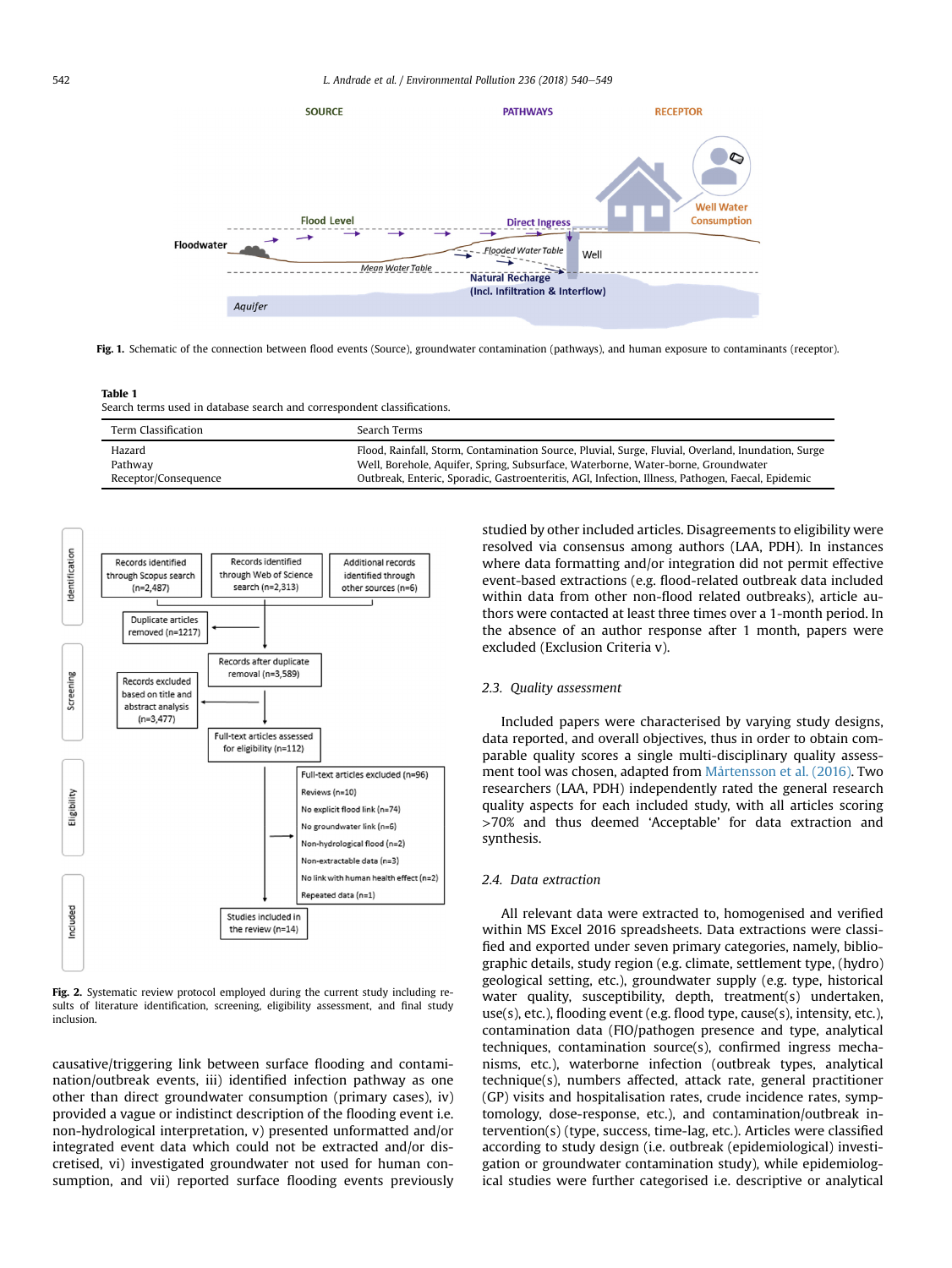<span id="page-4-0"></span>

Fig. 1. Schematic of the connection between flood events (Source), groundwater contamination (pathways), and human exposure to contaminants (receptor).

Table 1

Search terms used in database search and correspondent classifications.

| Term Classification  | Search Terms                                                                                       |
|----------------------|----------------------------------------------------------------------------------------------------|
| Hazard               | Flood, Rainfall, Storm, Contamination Source, Pluvial, Surge, Fluvial, Overland, Inundation, Surge |
| Pathway              | Well, Borehole, Aquifer, Spring, Subsurface, Waterborne, Water-borne, Groundwater                  |
| Receptor/Consequence | Outbreak, Enteric, Sporadic, Gastroenteritis, AGI, Infection, Illness, Pathogen, Faecal, Epidemic  |



Fig. 2. Systematic review protocol employed during the current study including results of literature identification, screening, eligibility assessment, and final study inclusion.

causative/triggering link between surface flooding and contamination/outbreak events, iii) identified infection pathway as one other than direct groundwater consumption (primary cases), iv) provided a vague or indistinct description of the flooding event i.e. non-hydrological interpretation, v) presented unformatted and/or integrated event data which could not be extracted and/or discretised, vi) investigated groundwater not used for human consumption, and vii) reported surface flooding events previously studied by other included articles. Disagreements to eligibility were resolved via consensus among authors (LAA, PDH). In instances where data formatting and/or integration did not permit effective event-based extractions (e.g. flood-related outbreak data included within data from other non-flood related outbreaks), article authors were contacted at least three times over a 1-month period. In the absence of an author response after 1 month, papers were excluded (Exclusion Criteria v).

#### 2.3. Quality assessment

Included papers were characterised by varying study designs, data reported, and overall objectives, thus in order to obtain comparable quality scores a single multi-disciplinary quality assessment tool was chosen, adapted from [Mårtensson et al. \(2016\).](#page-11-0) Two researchers (LAA, PDH) independently rated the general research quality aspects for each included study, with all articles scoring >70% and thus deemed 'Acceptable' for data extraction and synthesis.

#### 2.4. Data extraction

All relevant data were extracted to, homogenised and verified within MS Excel 2016 spreadsheets. Data extractions were classified and exported under seven primary categories, namely, bibliographic details, study region (e.g. climate, settlement type, (hydro) geological setting, etc.), groundwater supply (e.g. type, historical water quality, susceptibility, depth, treatment(s) undertaken, use(s), etc.), flooding event (e.g. flood type, cause(s), intensity, etc.), contamination data (FIO/pathogen presence and type, analytical techniques, contamination source(s), confirmed ingress mechanisms, etc.), waterborne infection (outbreak types, analytical technique(s), numbers affected, attack rate, general practitioner (GP) visits and hospitalisation rates, crude incidence rates, symptomology, dose-response, etc.), and contamination/outbreak intervention(s) (type, success, time-lag, etc.). Articles were classified according to study design (i.e. outbreak (epidemiological) investigation or groundwater contamination study), while epidemiological studies were further categorised i.e. descriptive or analytical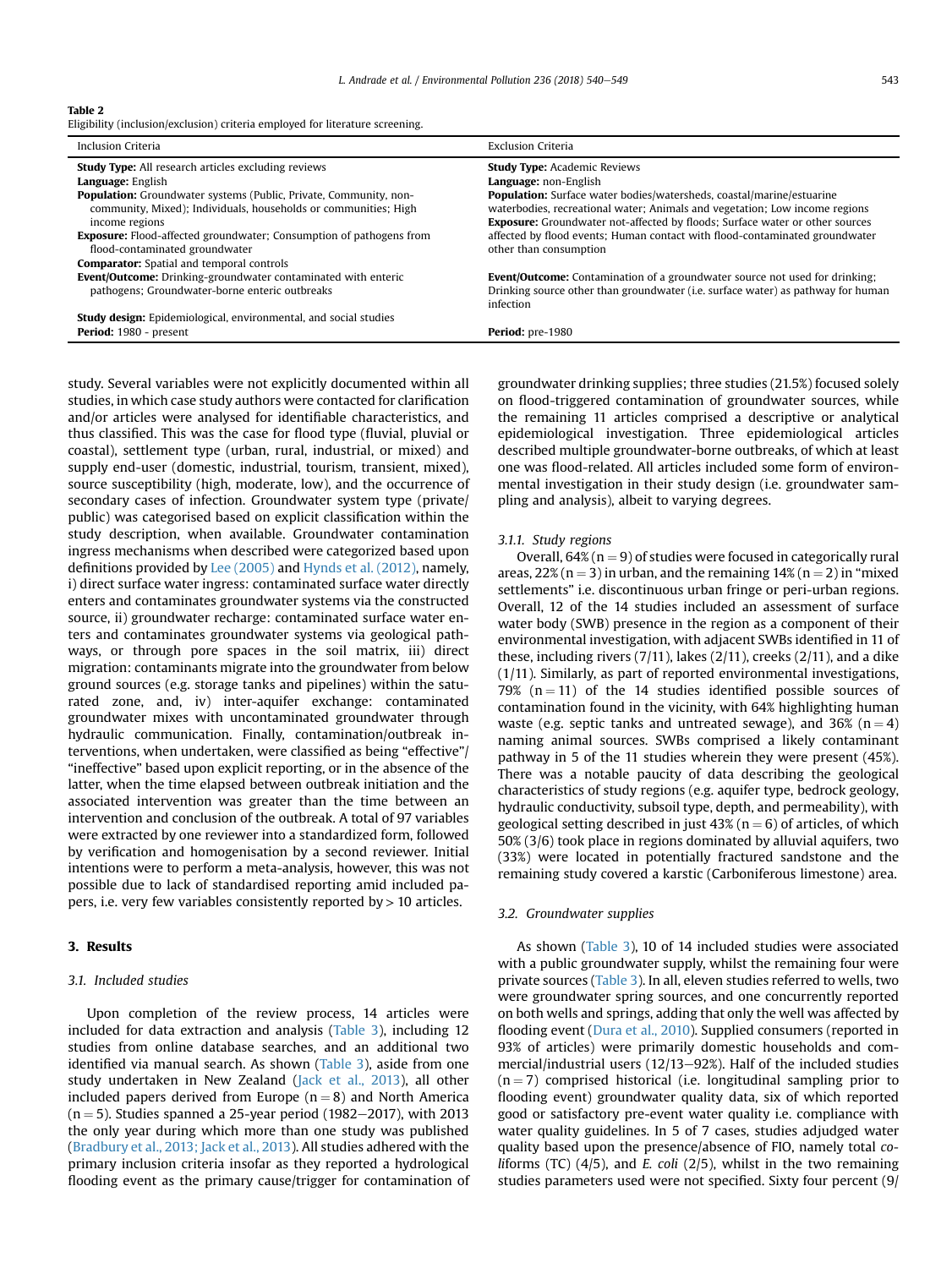#### <span id="page-5-0"></span>Table 2

Eligibility (inclusion/exclusion) criteria employed for literature screening.

| Inclusion Criteria                                                         | <b>Exclusion Criteria</b>                                                           |
|----------------------------------------------------------------------------|-------------------------------------------------------------------------------------|
| <b>Study Type:</b> All research articles excluding reviews                 | <b>Study Type: Academic Reviews</b>                                                 |
| Language: English                                                          | Language: non-English                                                               |
| <b>Population:</b> Groundwater systems (Public, Private, Community, non-   | <b>Population:</b> Surface water bodies/watersheds, coastal/marine/estuarine        |
| community, Mixed); Individuals, households or communities; High            | waterbodies, recreational water; Animals and vegetation; Low income regions         |
| income regions                                                             | <b>Exposure:</b> Groundwater not-affected by floods; Surface water or other sources |
| <b>Exposure:</b> Flood-affected groundwater; Consumption of pathogens from | affected by flood events; Human contact with flood-contaminated groundwater         |
| flood-contaminated groundwater                                             | other than consumption                                                              |
| <b>Comparator:</b> Spatial and temporal controls                           |                                                                                     |
| Event/Outcome: Drinking-groundwater contaminated with enteric              | Event/Outcome: Contamination of a groundwater source not used for drinking;         |
| pathogens; Groundwater-borne enteric outbreaks                             | Drinking source other than groundwater (i.e. surface water) as pathway for human    |
|                                                                            | infection                                                                           |
| <b>Study design:</b> Epidemiological, environmental, and social studies    |                                                                                     |
| Period: 1980 - present                                                     | <b>Period:</b> pre-1980                                                             |

study. Several variables were not explicitly documented within all studies, in which case study authors were contacted for clarification and/or articles were analysed for identifiable characteristics, and thus classified. This was the case for flood type (fluvial, pluvial or coastal), settlement type (urban, rural, industrial, or mixed) and supply end-user (domestic, industrial, tourism, transient, mixed), source susceptibility (high, moderate, low), and the occurrence of secondary cases of infection. Groundwater system type (private/ public) was categorised based on explicit classification within the study description, when available. Groundwater contamination ingress mechanisms when described were categorized based upon definitions provided by [Lee \(2005\)](#page-11-0) and [Hynds et al. \(2012\)](#page-11-0), namely, i) direct surface water ingress: contaminated surface water directly enters and contaminates groundwater systems via the constructed source, ii) groundwater recharge: contaminated surface water enters and contaminates groundwater systems via geological pathways, or through pore spaces in the soil matrix, iii) direct migration: contaminants migrate into the groundwater from below ground sources (e.g. storage tanks and pipelines) within the saturated zone, and, iv) inter-aquifer exchange: contaminated groundwater mixes with uncontaminated groundwater through hydraulic communication. Finally, contamination/outbreak interventions, when undertaken, were classified as being "effective"/ "ineffective" based upon explicit reporting, or in the absence of the latter, when the time elapsed between outbreak initiation and the associated intervention was greater than the time between an intervention and conclusion of the outbreak. A total of 97 variables were extracted by one reviewer into a standardized form, followed by verification and homogenisation by a second reviewer. Initial intentions were to perform a meta-analysis, however, this was not possible due to lack of standardised reporting amid included papers, i.e. very few variables consistently reported by > 10 articles.

#### 3. Results

#### 3.1. Included studies

Upon completion of the review process, 14 articles were included for data extraction and analysis ([Table 3\)](#page-6-0), including 12 studies from online database searches, and an additional two identified via manual search. As shown [\(Table 3\)](#page-6-0), aside from one study undertaken in New Zealand [\(Jack et al., 2013\)](#page-11-0), all other included papers derived from Europe  $(n = 8)$  and North America  $(n = 5)$ . Studies spanned a 25-year period (1982–2017), with 2013 the only year during which more than one study was published ([Bradbury et al., 2013; Jack et al., 2013](#page-10-0)). All studies adhered with the primary inclusion criteria insofar as they reported a hydrological flooding event as the primary cause/trigger for contamination of groundwater drinking supplies; three studies (21.5%) focused solely on flood-triggered contamination of groundwater sources, while the remaining 11 articles comprised a descriptive or analytical epidemiological investigation. Three epidemiological articles described multiple groundwater-borne outbreaks, of which at least one was flood-related. All articles included some form of environmental investigation in their study design (i.e. groundwater sampling and analysis), albeit to varying degrees.

#### 3.1.1. Study regions

Overall,  $64\%$  ( $n = 9$ ) of studies were focused in categorically rural areas,  $22\%$  (n = 3) in urban, and the remaining  $14\%$  (n = 2) in "mixed settlements" i.e. discontinuous urban fringe or peri-urban regions. Overall, 12 of the 14 studies included an assessment of surface water body (SWB) presence in the region as a component of their environmental investigation, with adjacent SWBs identified in 11 of these, including rivers  $(7/11)$ , lakes  $(2/11)$ , creeks  $(2/11)$ , and a dike (1/11). Similarly, as part of reported environmental investigations, 79%  $(n = 11)$  of the 14 studies identified possible sources of contamination found in the vicinity, with 64% highlighting human waste (e.g. septic tanks and untreated sewage), and 36% ( $n = 4$ ) naming animal sources. SWBs comprised a likely contaminant pathway in 5 of the 11 studies wherein they were present (45%). There was a notable paucity of data describing the geological characteristics of study regions (e.g. aquifer type, bedrock geology, hydraulic conductivity, subsoil type, depth, and permeability), with geological setting described in just  $43\%$  (n = 6) of articles, of which 50% (3/6) took place in regions dominated by alluvial aquifers, two (33%) were located in potentially fractured sandstone and the remaining study covered a karstic (Carboniferous limestone) area.

#### 3.2. Groundwater supplies

As shown ([Table 3](#page-6-0)), 10 of 14 included studies were associated with a public groundwater supply, whilst the remaining four were private sources ([Table 3](#page-6-0)). In all, eleven studies referred to wells, two were groundwater spring sources, and one concurrently reported on both wells and springs, adding that only the well was affected by flooding event [\(Dura et al., 2010\)](#page-10-0). Supplied consumers (reported in 93% of articles) were primarily domestic households and commercial/industrial users  $(12/13-92%)$ . Half of the included studies  $(n = 7)$  comprised historical (i.e. longitudinal sampling prior to flooding event) groundwater quality data, six of which reported good or satisfactory pre-event water quality i.e. compliance with water quality guidelines. In 5 of 7 cases, studies adjudged water quality based upon the presence/absence of FIO, namely total co*liforms* (TC)  $(4/5)$ , and *E. coli*  $(2/5)$ , whilst in the two remaining studies parameters used were not specified. Sixty four percent (9/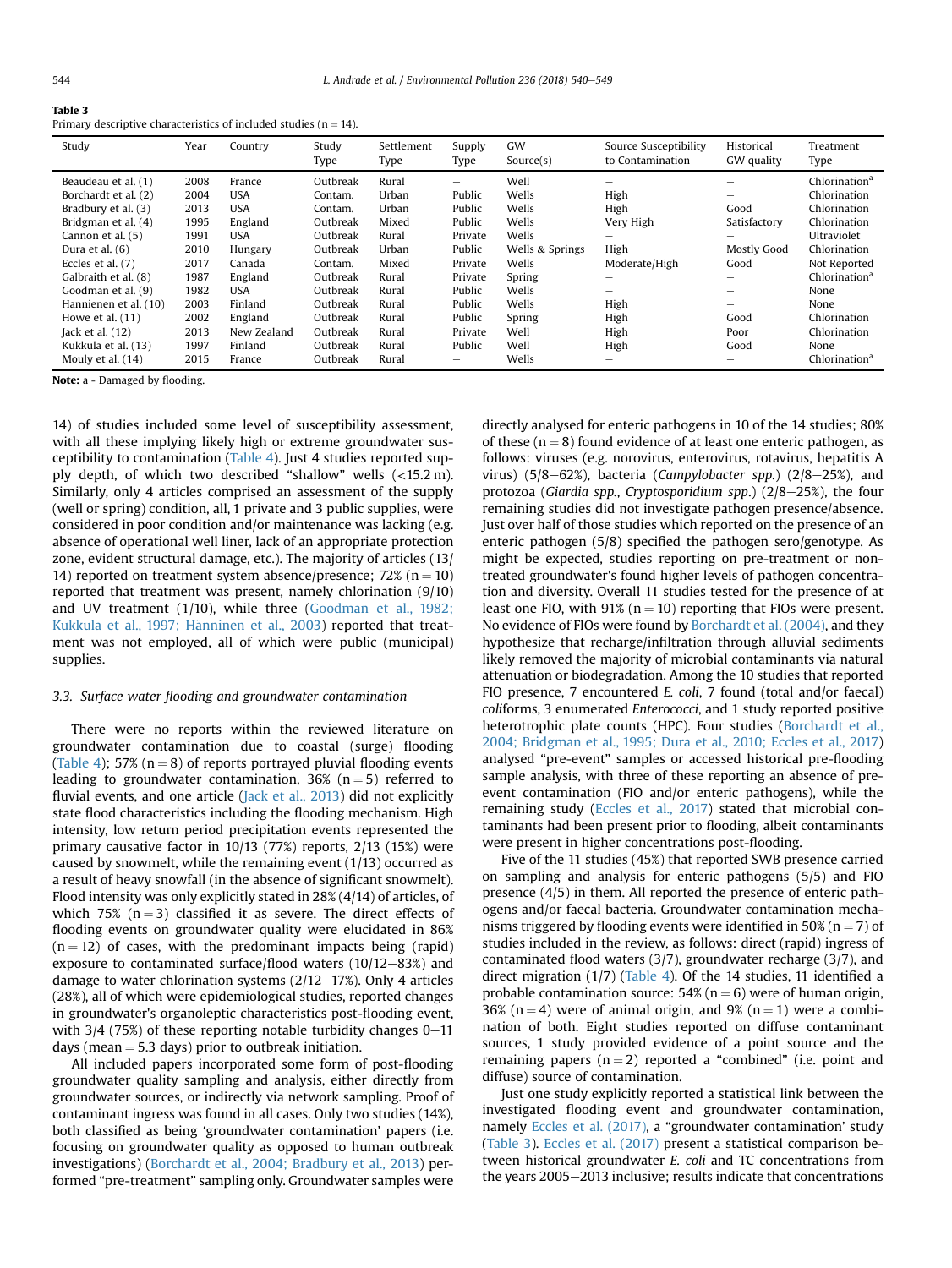<span id="page-6-0"></span>

| Primary descriptive characteristics of included studies ( $n = 14$ ). |  |
|-----------------------------------------------------------------------|--|
|-----------------------------------------------------------------------|--|

| Study                                                                                                                                                                                                    | Year                                                                 | Country                                                                                                   | Study<br>Type                                                                                         | Settlement<br>Type                                                            | Supply<br>Type                                                                                              | GW<br>Source(s)                                                                         | Source Susceptibility<br>to Contamination               | Historical<br>GW quality                         | Treatment<br>Type                                                                                                                                             |
|----------------------------------------------------------------------------------------------------------------------------------------------------------------------------------------------------------|----------------------------------------------------------------------|-----------------------------------------------------------------------------------------------------------|-------------------------------------------------------------------------------------------------------|-------------------------------------------------------------------------------|-------------------------------------------------------------------------------------------------------------|-----------------------------------------------------------------------------------------|---------------------------------------------------------|--------------------------------------------------|---------------------------------------------------------------------------------------------------------------------------------------------------------------|
| Beaudeau et al. (1)<br>Borchardt et al. (2)<br>Bradbury et al. (3)<br>Bridgman et al. (4)<br>Cannon et al. (5)<br>Dura et al. $(6)$<br>Eccles et al. $(7)$<br>Galbraith et al. (8)<br>Goodman et al. (9) | 2008<br>2004<br>2013<br>1995<br>1991<br>2010<br>2017<br>1987<br>1982 | France<br><b>USA</b><br><b>USA</b><br>England<br><b>USA</b><br>Hungary<br>Canada<br>England<br><b>USA</b> | Outbreak<br>Contam.<br>Contam.<br>Outbreak<br>Outbreak<br>Outbreak<br>Contam.<br>Outbreak<br>Outbreak | Rural<br>Urban<br>Urban<br>Mixed<br>Rural<br>Urban<br>Mixed<br>Rural<br>Rural | $\overline{\phantom{0}}$<br>Public<br>Public<br>Public<br>Private<br>Public<br>Private<br>Private<br>Public | Well<br>Wells<br>Wells<br>Wells<br>Wells<br>Wells & Springs<br>Wells<br>Spring<br>Wells | High<br>High<br>Very High<br>High<br>Moderate/High<br>- | -<br>Good<br>Satisfactory<br>Mostly Good<br>Good | Chlorination <sup>a</sup><br>Chlorination<br>Chlorination<br>Chlorination<br>Ultraviolet<br>Chlorination<br>Not Reported<br>Chlorination <sup>a</sup><br>None |
| Hannienen et al. (10)<br>Howe et al. $(11)$<br>Jack et al. $(12)$<br>Kukkula et al. (13)<br>Mouly et al. (14)                                                                                            | 2003<br>2002<br>2013<br>1997<br>2015                                 | Finland<br>England<br>New Zealand<br>Finland<br>France                                                    | Outbreak<br>Outbreak<br>Outbreak<br>Outbreak<br>Outbreak                                              | Rural<br>Rural<br>Rural<br>Rural<br>Rural                                     | Public<br>Public<br>Private<br>Public<br>-                                                                  | Wells<br>Spring<br>Well<br>Well<br>Wells                                                | High<br>High<br>High<br>High                            | -<br>Good<br>Poor<br>Good                        | None<br>Chlorination<br>Chlorination<br>None<br>Chlorination <sup>a</sup>                                                                                     |

Note: a - Damaged by flooding.

14) of studies included some level of susceptibility assessment, with all these implying likely high or extreme groundwater susceptibility to contamination [\(Table 4](#page-7-0)). Just 4 studies reported supply depth, of which two described "shallow" wells (<15.2 m). Similarly, only 4 articles comprised an assessment of the supply (well or spring) condition, all, 1 private and 3 public supplies, were considered in poor condition and/or maintenance was lacking (e.g. absence of operational well liner, lack of an appropriate protection zone, evident structural damage, etc.). The majority of articles (13/ 14) reported on treatment system absence/presence;  $72\%$  (n = 10) reported that treatment was present, namely chlorination (9/10) and UV treatment (1/10), while three ([Goodman et al., 1982;](#page-11-0) [Kukkula et al., 1997; H](#page-11-0)ä[nninen et al., 2003](#page-11-0)) reported that treatment was not employed, all of which were public (municipal) supplies.

#### 3.3. Surface water flooding and groundwater contamination

There were no reports within the reviewed literature on groundwater contamination due to coastal (surge) flooding ([Table 4](#page-7-0)); 57% ( $n = 8$ ) of reports portrayed pluvial flooding events leading to groundwater contamination,  $36%$  (n = 5) referred to fluvial events, and one article ([Jack et al., 2013\)](#page-11-0) did not explicitly state flood characteristics including the flooding mechanism. High intensity, low return period precipitation events represented the primary causative factor in 10/13 (77%) reports, 2/13 (15%) were caused by snowmelt, while the remaining event  $(1/13)$  occurred as a result of heavy snowfall (in the absence of significant snowmelt). Flood intensity was only explicitly stated in 28% (4/14) of articles, of which 75% ( $n = 3$ ) classified it as severe. The direct effects of flooding events on groundwater quality were elucidated in 86%  $(n = 12)$  of cases, with the predominant impacts being (rapid) exposure to contaminated surface/flood waters  $(10/12-83%)$  and damage to water chlorination systems  $(2/12-17%)$ . Only 4 articles (28%), all of which were epidemiological studies, reported changes in groundwater's organoleptic characteristics post-flooding event, with  $3/4$  (75%) of these reporting notable turbidity changes  $0-11$ days (mean  $=$  5.3 days) prior to outbreak initiation.

All included papers incorporated some form of post-flooding groundwater quality sampling and analysis, either directly from groundwater sources, or indirectly via network sampling. Proof of contaminant ingress was found in all cases. Only two studies (14%), both classified as being 'groundwater contamination' papers (i.e. focusing on groundwater quality as opposed to human outbreak investigations) [\(Borchardt et al., 2004; Bradbury et al., 2013](#page-10-0)) performed "pre-treatment" sampling only. Groundwater samples were

directly analysed for enteric pathogens in 10 of the 14 studies; 80% of these  $(n = 8)$  found evidence of at least one enteric pathogen, as follows: viruses (e.g. norovirus, enterovirus, rotavirus, hepatitis A virus) (5/8-62%), bacteria (Campylobacter spp.) (2/8-25%), and protozoa (Giardia spp., Cryptosporidium spp.)  $(2/8-25%)$ , the four remaining studies did not investigate pathogen presence/absence. Just over half of those studies which reported on the presence of an enteric pathogen (5/8) specified the pathogen sero/genotype. As might be expected, studies reporting on pre-treatment or nontreated groundwater's found higher levels of pathogen concentration and diversity. Overall 11 studies tested for the presence of at least one FIO, with  $91\%$  (n = 10) reporting that FIOs were present. No evidence of FIOs were found by [Borchardt et al. \(2004\)](#page-10-0), and they hypothesize that recharge/infiltration through alluvial sediments likely removed the majority of microbial contaminants via natural attenuation or biodegradation. Among the 10 studies that reported FIO presence, 7 encountered E. coli, 7 found (total and/or faecal) coliforms, 3 enumerated Enterococci, and 1 study reported positive heterotrophic plate counts (HPC). Four studies [\(Borchardt et al.,](#page-10-0) [2004; Bridgman et al., 1995; Dura et al., 2010; Eccles et al., 2017\)](#page-10-0) analysed "pre-event" samples or accessed historical pre-flooding sample analysis, with three of these reporting an absence of preevent contamination (FIO and/or enteric pathogens), while the remaining study ([Eccles et al., 2017](#page-10-0)) stated that microbial contaminants had been present prior to flooding, albeit contaminants were present in higher concentrations post-flooding.

Five of the 11 studies (45%) that reported SWB presence carried on sampling and analysis for enteric pathogens (5/5) and FIO presence (4/5) in them. All reported the presence of enteric pathogens and/or faecal bacteria. Groundwater contamination mechanisms triggered by flooding events were identified in 50% (n = 7) of studies included in the review, as follows: direct (rapid) ingress of contaminated flood waters (3/7), groundwater recharge (3/7), and direct migration (1/7) [\(Table 4](#page-7-0)). Of the 14 studies, 11 identified a probable contamination source:  $54\%$  (n = 6) were of human origin, 36% (n = 4) were of animal origin, and 9% (n = 1) were a combination of both. Eight studies reported on diffuse contaminant sources, 1 study provided evidence of a point source and the remaining papers  $(n = 2)$  reported a "combined" (i.e. point and diffuse) source of contamination.

Just one study explicitly reported a statistical link between the investigated flooding event and groundwater contamination, namely [Eccles et al. \(2017\)](#page-10-0), a "groundwater contamination' study (Table 3). [Eccles et al. \(2017\)](#page-10-0) present a statistical comparison between historical groundwater E. coli and TC concentrations from the years 2005-2013 inclusive; results indicate that concentrations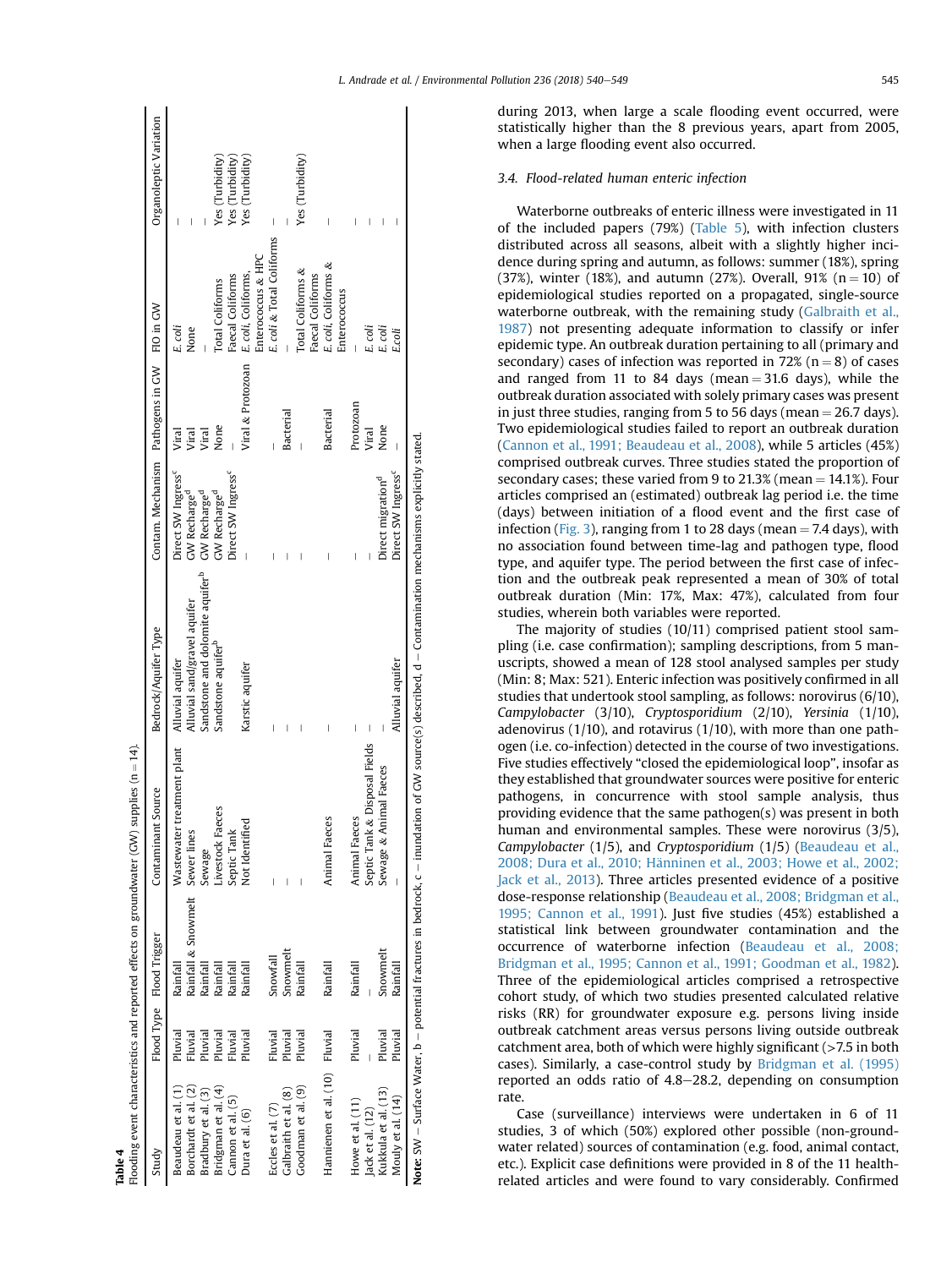<span id="page-7-0"></span>

| Table 4                       |         |                                 | Flooding event characteristics and reported effects on groundwater (GW) supplies ( $n = 14$ ). |                                                                                                                                                         |                                             |                   |                           |                        |
|-------------------------------|---------|---------------------------------|------------------------------------------------------------------------------------------------|---------------------------------------------------------------------------------------------------------------------------------------------------------|---------------------------------------------|-------------------|---------------------------|------------------------|
| Study                         |         | Flood Type Flood Trigger        | Source<br>Contaminant                                                                          | Bedrock/Aquifer Type                                                                                                                                    | Contam. Mechanism Pathogens in GW FIO in GW |                   |                           | Organoleptic Variation |
| Beaudeau et al. (1            | Pluvial | Rainfall                        | reatment plant<br><b>Wastewater</b>                                                            | Alluvial aquifer                                                                                                                                        | Direct SW Ingress <sup>c</sup>              | Viral             | E. coli                   |                        |
| Borchardt et al. (2)          | Fluvial | Rainfall & Snowmelt Sewer lines |                                                                                                | Alluvial sand/gravel aquifer                                                                                                                            | GW Recharge <sup>d</sup>                    | Viral             | None                      |                        |
| Bradbury et al. (3)           | Pluvial | Rainfall                        | Sewage                                                                                         | Sandstone and dolomite aquifer <sup>b</sup>                                                                                                             | GW Recharge <sup>d</sup>                    | Viral             |                           |                        |
| Bridgman et al. (4)           | Pluvial | Rainfall                        | Livestock Faeces                                                                               | Sandstone aquifer <sup>b</sup>                                                                                                                          | GW Recharge <sup>d</sup>                    | None              | Total Coliforms           | Yes (Turbidity)        |
| Cannon et al. (5)             | Fluvial | Rainfall                        | Septic Tank                                                                                    |                                                                                                                                                         | Direct SW Ingress <sup>c</sup>              |                   | Faecal Coliforms          | Yes (Turbidity)        |
| Dura et al. (6)               | Pluvial | Rainfal                         | Not Identified                                                                                 | Karstic aquifer                                                                                                                                         |                                             | Viral & Protozoan | E. coli, Coliforms,       | Yes (Turbidity)        |
|                               |         |                                 |                                                                                                |                                                                                                                                                         |                                             |                   | Enterococcus & HPC        |                        |
| Eccles et al. (7)             | Fluvial | Snowfall                        |                                                                                                | I                                                                                                                                                       |                                             |                   | E. coli & Total Coliforms |                        |
| Galbraith et al. (8)          | Pluvial | Snowmelt                        |                                                                                                |                                                                                                                                                         |                                             | Bacterial         |                           |                        |
| Goodman et al. (9)            | Pluvial | Rainfal                         |                                                                                                |                                                                                                                                                         |                                             |                   | Total Coliforms &         | Yes (Turbidity)        |
|                               |         |                                 |                                                                                                |                                                                                                                                                         |                                             |                   | Faecal Coliforms          |                        |
| Hannienen et al. (10) Fluvial |         | Rainfall                        | Animal Faeces                                                                                  |                                                                                                                                                         |                                             | Bacterial         | E. coli, Coliforms &      | I                      |
|                               |         |                                 |                                                                                                |                                                                                                                                                         |                                             |                   | Enterococcus              |                        |
| Howe et al. (11)              | Pluvial | Rainfal                         | Animal Faeces                                                                                  | I                                                                                                                                                       |                                             | Protozoan         |                           |                        |
| Jack et al. (12)              |         |                                 | Septic Tank & Disposal Fields                                                                  |                                                                                                                                                         |                                             | Viral             | E. coli                   |                        |
| Kukkula et al. (13)           | Pluvial | Snowmelt                        | imal Faeces<br>Sewage & An                                                                     |                                                                                                                                                         | Direct migration <sup>d</sup>               | None              | E. coli                   |                        |
| Mouly et al. (14)             | Pluvial | Rainfal                         |                                                                                                | Alluvial aquifer                                                                                                                                        | Direct SW Ingress <sup>c</sup>              |                   | E.coli                    |                        |
|                               |         |                                 |                                                                                                | Note: SW – Surface Water, b – potential fractures in bedrock, c – inundation of GW source(s) described, d – Contamination mechanisms explicitly stated. |                                             |                   |                           |                        |

during 2013, when large a scale flooding event occurred, were statistically higher than the 8 previous years, apart from 2005, when a large flooding event also occurred.

#### 3.4. Flood-related human enteric infection

Waterborne outbreaks of enteric illness were investigated in 11 of the included papers (79%) [\(Table 5](#page-8-0)), with infection clusters distributed across all seasons, albeit with a slightly higher incidence during spring and autumn, as follows: summer (18%), spring (37%), winter (18%), and autumn (27%). Overall, 91% ( $n = 10$ ) of epidemiological studies reported on a propagated, single-source waterborne outbreak, with the remaining study [\(Galbraith et al.,](#page-11-0) [1987\)](#page-11-0) not presenting adequate information to classify or infer epidemic type. An outbreak duration pertaining to all (primary and secondary) cases of infection was reported in 72% ( $n = 8$ ) of cases and ranged from 11 to 84 days (mean  $=$  31.6 days), while the outbreak duration associated with solely primary cases was present in just three studies, ranging from 5 to 56 days (mean  $=$  26.7 days). Two epidemiological studies failed to report an outbreak duration ([Cannon et al., 1991; Beaudeau et al., 2008](#page-10-0)), while 5 articles (45%) comprised outbreak curves. Three studies stated the proportion of secondary cases; these varied from 9 to 21.3% (mean  $= 14.1\%$ ). Four articles comprised an (estimated) outbreak lag period i.e. the time (days) between initiation of a flood event and the first case of infection ([Fig. 3\)](#page-8-0), ranging from 1 to 28 days (mean  $=$  7.4 days), with no association found between time-lag and pathogen type, flood type, and aquifer type. The period between the first case of infection and the outbreak peak represented a mean of 30% of total outbreak duration (Min: 17%, Max: 47%), calculated from four studies, wherein both variables were reported.

The majority of studies (10/11) comprised patient stool sampling (i.e. case confirmation); sampling descriptions, from 5 manuscripts, showed a mean of 128 stool analysed samples per study (Min: 8; Max: 521). Enteric infection was positively confirmed in all studies that undertook stool sampling, as follows: norovirus (6/10), Campylobacter (3/10), Cryptosporidium (2/10), Yersinia (1/10), adenovirus  $(1/10)$ , and rotavirus  $(1/10)$ , with more than one pathogen (i.e. co-infection) detected in the course of two investigations. Five studies effectively "closed the epidemiological loop", insofar as they established that groundwater sources were positive for enteric pathogens, in concurrence with stool sample analysis, thus providing evidence that the same pathogen(s) was present in both human and environmental samples. These were norovirus (3/5), Campylobacter (1/5), and Cryptosporidium (1/5) ([Beaudeau et al.,](#page-10-0) [2008; Dura et al., 2010; H](#page-10-0)ä[nninen et al., 2003; Howe et al., 2002;](#page-10-0) [Jack et al., 2013\)](#page-10-0). Three articles presented evidence of a positive dose-response relationship ([Beaudeau et al., 2008; Bridgman et al.,](#page-10-0) [1995; Cannon et al., 1991](#page-10-0)). Just five studies (45%) established a statistical link between groundwater contamination and the occurrence of waterborne infection ([Beaudeau et al., 2008;](#page-10-0) [Bridgman et al., 1995; Cannon et al., 1991; Goodman et al., 1982\)](#page-10-0). Three of the epidemiological articles comprised a retrospective cohort study, of which two studies presented calculated relative risks (RR) for groundwater exposure e.g. persons living inside outbreak catchment areas versus persons living outside outbreak catchment area, both of which were highly significant  $($ >7.5 in both cases). Similarly, a case-control study by [Bridgman et al. \(1995\)](#page-10-0) reported an odds ratio of  $4.8-28.2$ , depending on consumption rate.

Case (surveillance) interviews were undertaken in 6 of 11 studies, 3 of which (50%) explored other possible (non-groundwater related) sources of contamination (e.g. food, animal contact, etc.). Explicit case definitions were provided in 8 of the 11 healthrelated articles and were found to vary considerably. Confirmed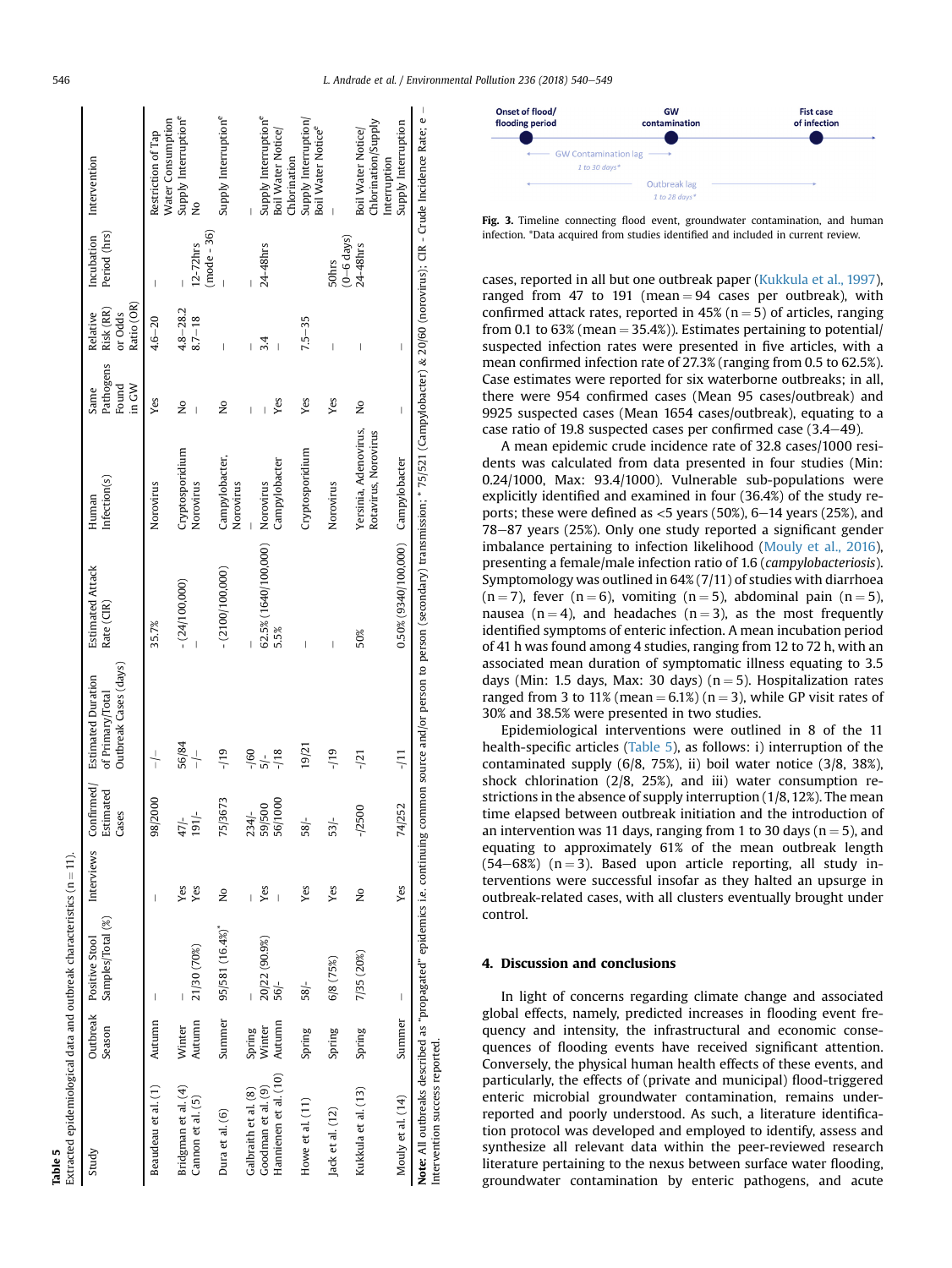<span id="page-8-0"></span>

| Extracted epidemiological data and outbreak characteristics ( $n = 11$ ). |                  |                                              |               |                                  |                                                                        |                                                                                                                                                                                                                     |                                               |                                     |                                                |                                 |                                                       |
|---------------------------------------------------------------------------|------------------|----------------------------------------------|---------------|----------------------------------|------------------------------------------------------------------------|---------------------------------------------------------------------------------------------------------------------------------------------------------------------------------------------------------------------|-----------------------------------------------|-------------------------------------|------------------------------------------------|---------------------------------|-------------------------------------------------------|
| Study                                                                     | Season           | Samples/Total (%)<br>Outbreak Positive Stool | Interviews    | Confirmed/<br>Estimated<br>Cases | Outbreak Cases (days)<br><b>Estimated Duration</b><br>of Primary/Total | <b>Estimated Attack</b><br>Rate (CIR)                                                                                                                                                                               | Infection(s)<br>Human                         | Pathogens<br>in GW<br>Found<br>Same | Ratio (OR)<br>Risk (RR)<br>Relative<br>or Odds | Period (hrs)<br>Incubation      | Intervention                                          |
| Beaudeau et al. (1)                                                       | Autumn           |                                              |               | (2000<br>$\frac{8}{3}$           | $\frac{1}{1}$                                                          | 35.7%                                                                                                                                                                                                               | Norovirus                                     | Yes                                 | $4.6 - 20$                                     |                                 | Water Consumption<br>Restriction of Tap               |
| Bridgman et al. (4)<br>Cannon et al. (5)                                  | Autumn<br>Winter | 21/30 (70%)                                  | Yes<br>Yes    | $\frac{47}{191}$ -<br>47         | 56/84<br>$\frac{1}{1}$                                                 | $-(24/100,000)$                                                                                                                                                                                                     | Cryptosporidium<br>Norovirus                  | $\frac{1}{2}$<br>$\overline{1}$     | $4.8 - 28.2$<br>$8.7 - 18$                     | $(mod e - 36)$<br>$12 - 72$ hrs | Supply Interruption <sup>e</sup><br>$\frac{1}{2}$     |
| Dura et al. (6)                                                           | Summer           | 95/581 (16.4%)                               | ž             | /3673<br>75                      | $-119$                                                                 | $- (2100/100,000)$                                                                                                                                                                                                  | Campylobacter,<br>Norovirus                   | $\frac{1}{2}$                       | $\overline{1}$                                 |                                 | Supply Interruption <sup>e</sup>                      |
| Galbraith et al. (8)                                                      | Spring           |                                              |               | $234/-$                          | $-160$                                                                 |                                                                                                                                                                                                                     |                                               | Ï                                   |                                                |                                 |                                                       |
| Goodman et al. (9)                                                        | Winter           | 20/22 (90.9%)                                | Yes           | 59/500<br>56/1000                | 5/                                                                     | 62.5% (1640/100,000)                                                                                                                                                                                                | Norovirus                                     |                                     | 3.4                                            | 24-48hrs                        | Supply Interruption <sup>e</sup>                      |
| Hannienen et al. (10)                                                     | Autumn           | $-195$                                       | Ï             |                                  | $-18$                                                                  | 5.5%                                                                                                                                                                                                                | Campylobacter                                 | Yes                                 | Ï                                              |                                 | Boil Water Notice<br>Chlorination                     |
| Howe et al. (11)                                                          | Spring           | 58/                                          | Yes           | $-188$                           | 19/21                                                                  | I                                                                                                                                                                                                                   | Cryptosporidium                               | Yes                                 | $7.5 - 35$                                     |                                 | Supply Interruption<br>Boil Water Notice <sup>e</sup> |
| Jack et al. (12)                                                          | Spring           | 6/8 (75%)                                    | Yes           | 53/                              | $-119$                                                                 | $\overline{\phantom{a}}$                                                                                                                                                                                            | Norovirus                                     | Yes                                 | $\overline{1}$                                 | $(0-6 \text{ days})$<br>50hrs   |                                                       |
| Kukkula et al. (13)                                                       | Spring           | 7/35 (20%)                                   | $\frac{1}{2}$ | $-72500$                         | $-121$                                                                 | 50%                                                                                                                                                                                                                 | Yersinia, Adenovirus,<br>Rotavirus, Norovirus | $\frac{1}{2}$                       | Ï                                              | 24-48hrs                        | Chlorination/Supply<br>Boil Water Notice/             |
| Mouly et al. (14)                                                         | Summer           | $\vert$                                      | Yes           | /252<br>74                       | FT-                                                                    | 0.50% (9340/100,000) Campylobacter                                                                                                                                                                                  |                                               | $\mid$                              | $\begin{array}{c} \end{array}$                 |                                 | Supply Interruption<br>Interruption                   |
| Intervention success reported.                                            |                  |                                              |               |                                  |                                                                        | Note: All outbreaks described as "propagated" epidemics i.e. continuing common source and/or person to person (secondary) transmission; * 75/521 (Campylobacter) & 20/60 (norovirus); CIR - Crude Incidence Rate; e |                                               |                                     |                                                |                                 |                                                       |

 $\mathbf{L}$ 



Fig. 3. Timeline connecting flood event, groundwater contamination, and human infection. \*Data acquired from studies identified and included in current review.

cases, reported in all but one outbreak paper [\(Kukkula et al., 1997\)](#page-11-0), ranged from 47 to 191 (mean  $= 94$  cases per outbreak), with confirmed attack rates, reported in 45% ( $n = 5$ ) of articles, ranging from 0.1 to 63% (mean  $=$  35.4%)). Estimates pertaining to potential/ suspected infection rates were presented in five articles, with a mean confirmed infection rate of 27.3% (ranging from 0.5 to 62.5%). Case estimates were reported for six waterborne outbreaks; in all, there were 954 confirmed cases (Mean 95 cases/outbreak) and 9925 suspected cases (Mean 1654 cases/outbreak), equating to a case ratio of 19.8 suspected cases per confirmed case  $(3.4-49)$ .

A mean epidemic crude incidence rate of 32.8 cases/1000 residents was calculated from data presented in four studies (Min: 0.24/1000, Max: 93.4/1000). Vulnerable sub-populations were explicitly identified and examined in four (36.4%) of the study reports; these were defined as  $<$  5 years (50%), 6–14 years (25%), and 78-87 years (25%). Only one study reported a significant gender imbalance pertaining to infection likelihood [\(Mouly et al., 2016\)](#page-11-0), presenting a female/male infection ratio of 1.6 (campylobacteriosis). Symptomology was outlined in 64% (7/11) of studies with diarrhoea  $(n = 7)$ , fever  $(n = 6)$ , vomiting  $(n = 5)$ , abdominal pain  $(n = 5)$ , nausea (n = 4), and headaches (n = 3), as the most frequently identified symptoms of enteric infection. A mean incubation period of 41 h was found among 4 studies, ranging from 12 to 72 h, with an associated mean duration of symptomatic illness equating to 3.5 days (Min: 1.5 days, Max: 30 days) ( $n = 5$ ). Hospitalization rates ranged from 3 to 11% (mean  $= 6.1\%$ ) (n  $= 3$ ), while GP visit rates of 30% and 38.5% were presented in two studies.

Epidemiological interventions were outlined in 8 of the 11 health-specific articles (Table 5), as follows: i) interruption of the contaminated supply (6/8, 75%), ii) boil water notice (3/8, 38%), shock chlorination (2/8, 25%), and iii) water consumption restrictions in the absence of supply interruption (1/8, 12%). The mean time elapsed between outbreak initiation and the introduction of an intervention was 11 days, ranging from 1 to 30 days ( $n = 5$ ), and equating to approximately 61% of the mean outbreak length  $(54–68%)$  (n = 3). Based upon article reporting, all study interventions were successful insofar as they halted an upsurge in outbreak-related cases, with all clusters eventually brought under control.

#### 4. Discussion and conclusions

In light of concerns regarding climate change and associated global effects, namely, predicted increases in flooding event frequency and intensity, the infrastructural and economic consequences of flooding events have received significant attention. Conversely, the physical human health effects of these events, and particularly, the effects of (private and municipal) flood-triggered enteric microbial groundwater contamination, remains underreported and poorly understood. As such, a literature identification protocol was developed and employed to identify, assess and synthesize all relevant data within the peer-reviewed research literature pertaining to the nexus between surface water flooding, groundwater contamination by enteric pathogens, and acute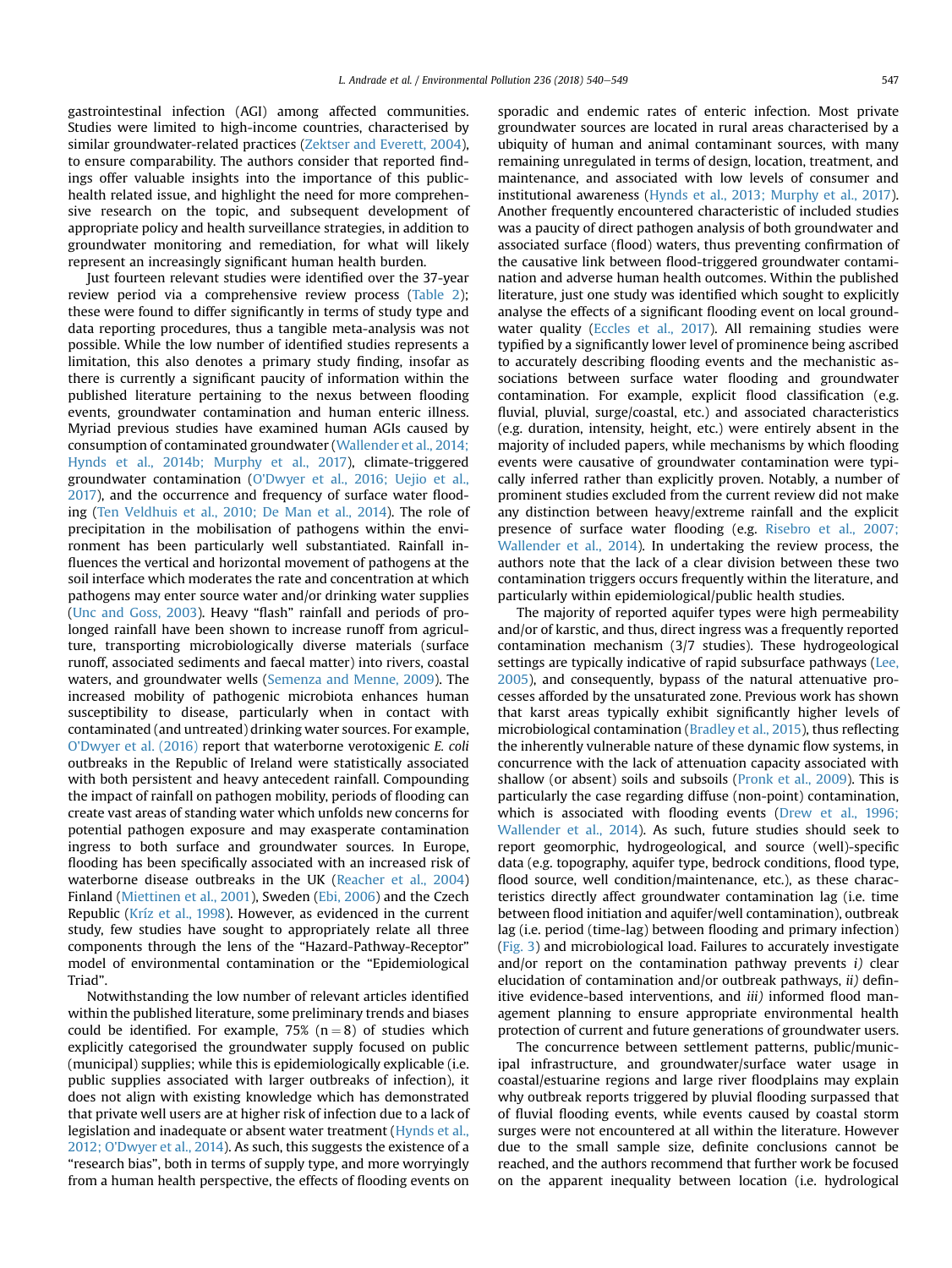gastrointestinal infection (AGI) among affected communities. Studies were limited to high-income countries, characterised by similar groundwater-related practices [\(Zektser and Everett, 2004\)](#page-11-0), to ensure comparability. The authors consider that reported findings offer valuable insights into the importance of this publichealth related issue, and highlight the need for more comprehensive research on the topic, and subsequent development of appropriate policy and health surveillance strategies, in addition to groundwater monitoring and remediation, for what will likely represent an increasingly significant human health burden.

Just fourteen relevant studies were identified over the 37-year review period via a comprehensive review process [\(Table 2\)](#page-5-0); these were found to differ significantly in terms of study type and data reporting procedures, thus a tangible meta-analysis was not possible. While the low number of identified studies represents a limitation, this also denotes a primary study finding, insofar as there is currently a significant paucity of information within the published literature pertaining to the nexus between flooding events, groundwater contamination and human enteric illness. Myriad previous studies have examined human AGIs caused by consumption of contaminated groundwater ([Wallender et al., 2014;](#page-11-0) [Hynds et al., 2014b; Murphy et al., 2017](#page-11-0)), climate-triggered groundwater contamination [\(O'Dwyer et al., 2016; Uejio et al.,](#page-11-0) [2017](#page-11-0)), and the occurrence and frequency of surface water flooding [\(Ten Veldhuis et al., 2010; De Man et al., 2014\)](#page-11-0). The role of precipitation in the mobilisation of pathogens within the environment has been particularly well substantiated. Rainfall influences the vertical and horizontal movement of pathogens at the soil interface which moderates the rate and concentration at which pathogens may enter source water and/or drinking water supplies ([Unc and Goss, 2003](#page-11-0)). Heavy "flash" rainfall and periods of prolonged rainfall have been shown to increase runoff from agriculture, transporting microbiologically diverse materials (surface runoff, associated sediments and faecal matter) into rivers, coastal waters, and groundwater wells ([Semenza and Menne, 2009\)](#page-11-0). The increased mobility of pathogenic microbiota enhances human susceptibility to disease, particularly when in contact with contaminated (and untreated) drinking water sources. For example, [O'Dwyer et al. \(2016\)](#page-11-0) report that waterborne verotoxigenic E. coli outbreaks in the Republic of Ireland were statistically associated with both persistent and heavy antecedent rainfall. Compounding the impact of rainfall on pathogen mobility, periods of flooding can create vast areas of standing water which unfolds new concerns for potential pathogen exposure and may exasperate contamination ingress to both surface and groundwater sources. In Europe, flooding has been specifically associated with an increased risk of waterborne disease outbreaks in the UK ([Reacher et al., 2004\)](#page-11-0) Finland ([Miettinen et al., 2001\)](#page-11-0), Sweden [\(Ebi, 2006\)](#page-10-0) and the Czech Republic [\(Kríz et al., 1998\)](#page-11-0). However, as evidenced in the current study, few studies have sought to appropriately relate all three components through the lens of the "Hazard-Pathway-Receptor" model of environmental contamination or the "Epidemiological Triad".

Notwithstanding the low number of relevant articles identified within the published literature, some preliminary trends and biases could be identified. For example, 75% ( $n = 8$ ) of studies which explicitly categorised the groundwater supply focused on public (municipal) supplies; while this is epidemiologically explicable (i.e. public supplies associated with larger outbreaks of infection), it does not align with existing knowledge which has demonstrated that private well users are at higher risk of infection due to a lack of legislation and inadequate or absent water treatment ([Hynds et al.,](#page-11-0) [2012; O'Dwyer et al., 2014\)](#page-11-0). As such, this suggests the existence of a "research bias", both in terms of supply type, and more worryingly from a human health perspective, the effects of flooding events on

sporadic and endemic rates of enteric infection. Most private groundwater sources are located in rural areas characterised by a ubiquity of human and animal contaminant sources, with many remaining unregulated in terms of design, location, treatment, and maintenance, and associated with low levels of consumer and institutional awareness [\(Hynds et al., 2013; Murphy et al., 2017\)](#page-11-0). Another frequently encountered characteristic of included studies was a paucity of direct pathogen analysis of both groundwater and associated surface (flood) waters, thus preventing confirmation of the causative link between flood-triggered groundwater contamination and adverse human health outcomes. Within the published literature, just one study was identified which sought to explicitly analyse the effects of a significant flooding event on local ground-water quality ([Eccles et al., 2017](#page-10-0)). All remaining studies were typified by a significantly lower level of prominence being ascribed to accurately describing flooding events and the mechanistic associations between surface water flooding and groundwater contamination. For example, explicit flood classification (e.g. fluvial, pluvial, surge/coastal, etc.) and associated characteristics (e.g. duration, intensity, height, etc.) were entirely absent in the majority of included papers, while mechanisms by which flooding events were causative of groundwater contamination were typically inferred rather than explicitly proven. Notably, a number of prominent studies excluded from the current review did not make any distinction between heavy/extreme rainfall and the explicit presence of surface water flooding (e.g. [Risebro et al., 2007;](#page-11-0) [Wallender et al., 2014\)](#page-11-0). In undertaking the review process, the authors note that the lack of a clear division between these two contamination triggers occurs frequently within the literature, and particularly within epidemiological/public health studies.

The majority of reported aquifer types were high permeability and/or of karstic, and thus, direct ingress was a frequently reported contamination mechanism (3/7 studies). These hydrogeological settings are typically indicative of rapid subsurface pathways ([Lee,](#page-11-0) [2005\)](#page-11-0), and consequently, bypass of the natural attenuative processes afforded by the unsaturated zone. Previous work has shown that karst areas typically exhibit significantly higher levels of microbiological contamination ([Bradley et al., 2015\)](#page-10-0), thus reflecting the inherently vulnerable nature of these dynamic flow systems, in concurrence with the lack of attenuation capacity associated with shallow (or absent) soils and subsoils ([Pronk et al., 2009\)](#page-11-0). This is particularly the case regarding diffuse (non-point) contamination, which is associated with flooding events ([Drew et al., 1996;](#page-10-0) [Wallender et al., 2014](#page-10-0)). As such, future studies should seek to report geomorphic, hydrogeological, and source (well)-specific data (e.g. topography, aquifer type, bedrock conditions, flood type, flood source, well condition/maintenance, etc.), as these characteristics directly affect groundwater contamination lag (i.e. time between flood initiation and aquifer/well contamination), outbreak lag (i.e. period (time-lag) between flooding and primary infection) ([Fig. 3\)](#page-8-0) and microbiological load. Failures to accurately investigate and/or report on the contamination pathway prevents  $i$ ) clear elucidation of contamination and/or outbreak pathways, ii) definitive evidence-based interventions, and *iii*) informed flood management planning to ensure appropriate environmental health protection of current and future generations of groundwater users.

The concurrence between settlement patterns, public/municipal infrastructure, and groundwater/surface water usage in coastal/estuarine regions and large river floodplains may explain why outbreak reports triggered by pluvial flooding surpassed that of fluvial flooding events, while events caused by coastal storm surges were not encountered at all within the literature. However due to the small sample size, definite conclusions cannot be reached, and the authors recommend that further work be focused on the apparent inequality between location (i.e. hydrological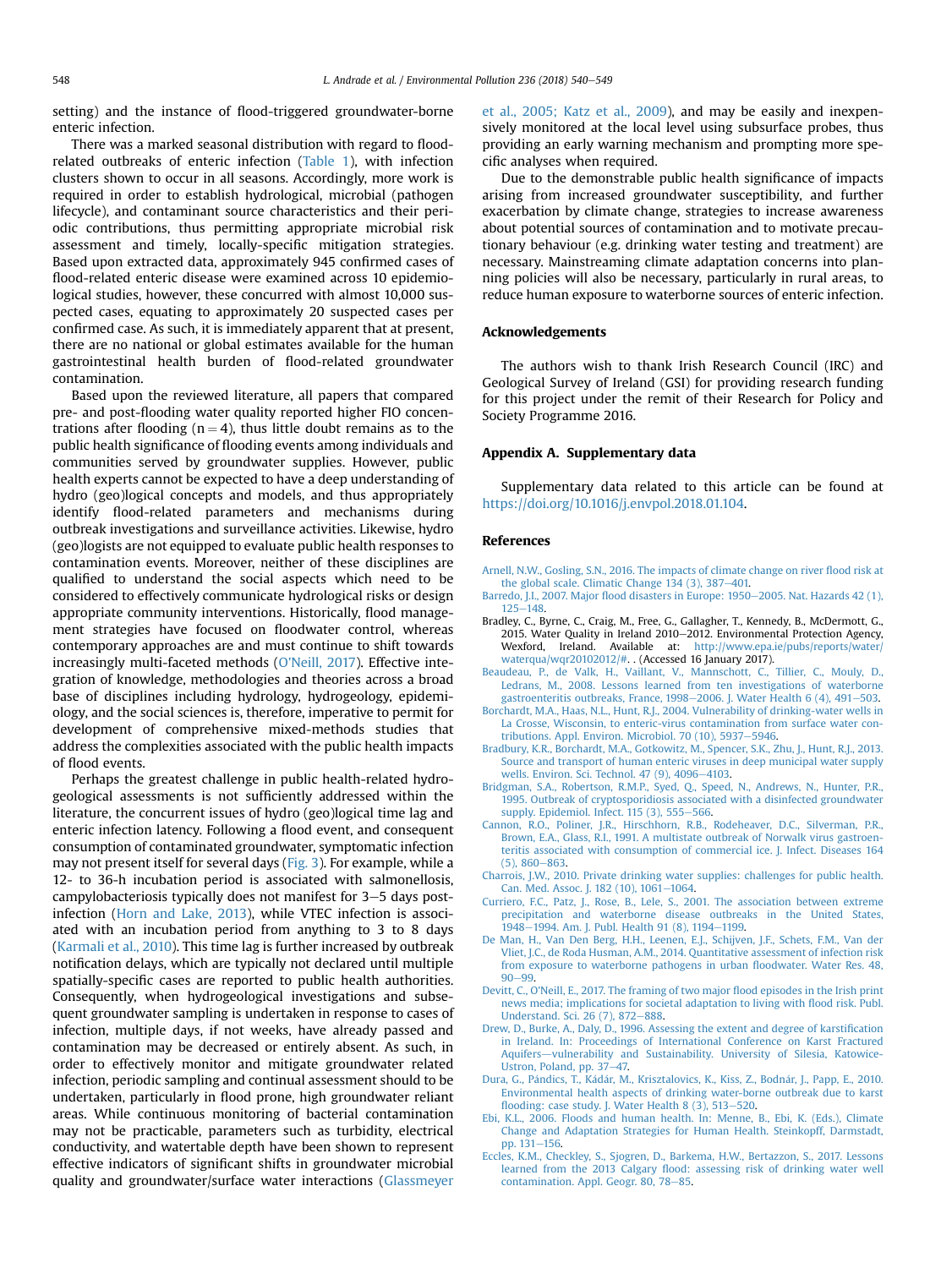<span id="page-10-0"></span>setting) and the instance of flood-triggered groundwater-borne enteric infection.

There was a marked seasonal distribution with regard to floodrelated outbreaks of enteric infection ([Table 1\)](#page-4-0), with infection clusters shown to occur in all seasons. Accordingly, more work is required in order to establish hydrological, microbial (pathogen lifecycle), and contaminant source characteristics and their periodic contributions, thus permitting appropriate microbial risk assessment and timely, locally-specific mitigation strategies. Based upon extracted data, approximately 945 confirmed cases of flood-related enteric disease were examined across 10 epidemiological studies, however, these concurred with almost 10,000 suspected cases, equating to approximately 20 suspected cases per confirmed case. As such, it is immediately apparent that at present, there are no national or global estimates available for the human gastrointestinal health burden of flood-related groundwater contamination.

Based upon the reviewed literature, all papers that compared pre- and post-flooding water quality reported higher FIO concentrations after flooding ( $n = 4$ ), thus little doubt remains as to the public health significance of flooding events among individuals and communities served by groundwater supplies. However, public health experts cannot be expected to have a deep understanding of hydro (geo)logical concepts and models, and thus appropriately identify flood-related parameters and mechanisms during outbreak investigations and surveillance activities. Likewise, hydro (geo)logists are not equipped to evaluate public health responses to contamination events. Moreover, neither of these disciplines are qualified to understand the social aspects which need to be considered to effectively communicate hydrological risks or design appropriate community interventions. Historically, flood management strategies have focused on floodwater control, whereas contemporary approaches are and must continue to shift towards increasingly multi-faceted methods [\(O'Neill, 2017\)](#page-11-0). Effective integration of knowledge, methodologies and theories across a broad base of disciplines including hydrology, hydrogeology, epidemiology, and the social sciences is, therefore, imperative to permit for development of comprehensive mixed-methods studies that address the complexities associated with the public health impacts of flood events.

Perhaps the greatest challenge in public health-related hydrogeological assessments is not sufficiently addressed within the literature, the concurrent issues of hydro (geo)logical time lag and enteric infection latency. Following a flood event, and consequent consumption of contaminated groundwater, symptomatic infection may not present itself for several days ([Fig. 3\)](#page-8-0). For example, while a 12- to 36-h incubation period is associated with salmonellosis, campylobacteriosis typically does not manifest for  $3-5$  days postinfection ([Horn and Lake, 2013](#page-11-0)), while VTEC infection is associated with an incubation period from anything to 3 to 8 days ([Karmali et al., 2010](#page-11-0)). This time lag is further increased by outbreak notification delays, which are typically not declared until multiple spatially-specific cases are reported to public health authorities. Consequently, when hydrogeological investigations and subsequent groundwater sampling is undertaken in response to cases of infection, multiple days, if not weeks, have already passed and contamination may be decreased or entirely absent. As such, in order to effectively monitor and mitigate groundwater related infection, periodic sampling and continual assessment should to be undertaken, particularly in flood prone, high groundwater reliant areas. While continuous monitoring of bacterial contamination may not be practicable, parameters such as turbidity, electrical conductivity, and watertable depth have been shown to represent effective indicators of significant shifts in groundwater microbial quality and groundwater/surface water interactions [\(Glassmeyer](#page-11-0) [et al., 2005; Katz et al., 2009](#page-11-0)), and may be easily and inexpensively monitored at the local level using subsurface probes, thus providing an early warning mechanism and prompting more specific analyses when required.

Due to the demonstrable public health significance of impacts arising from increased groundwater susceptibility, and further exacerbation by climate change, strategies to increase awareness about potential sources of contamination and to motivate precautionary behaviour (e.g. drinking water testing and treatment) are necessary. Mainstreaming climate adaptation concerns into planning policies will also be necessary, particularly in rural areas, to reduce human exposure to waterborne sources of enteric infection.

#### Acknowledgements

The authors wish to thank Irish Research Council (IRC) and Geological Survey of Ireland (GSI) for providing research funding for this project under the remit of their Research for Policy and Society Programme 2016.

#### Appendix A. Supplementary data

Supplementary data related to this article can be found at [https://doi.org/10.1016/j.envpol.2018.01.104.](https://doi.org/10.1016/j.envpol.2018.01.104)

#### References

- [Arnell, N.W., Gosling, S.N., 2016. The impacts of climate change on river](http://refhub.elsevier.com/S0269-7491(17)34951-5/sref1) flood risk at the global scale. Climatic Change  $134$  (3), 387-[401.](http://refhub.elsevier.com/S0269-7491(17)34951-5/sref1)
- Barredo, J.I., 2007. Major fl[ood disasters in Europe: 1950](http://refhub.elsevier.com/S0269-7491(17)34951-5/sref2)-[2005. Nat. Hazards 42 \(1\),](http://refhub.elsevier.com/S0269-7491(17)34951-5/sref2)  $125 - 148$  $125 - 148$  $125 - 148$
- Bradley, C., Byrne, C., Craig, M., Free, G., Gallagher, T., Kennedy, B., McDermott, G., 2015. Water Quality in Ireland 2010-2012. Environmental Protection Agency, Wexford, Ireland. Available at: [http://www.epa.ie/pubs/reports/water/](http://www.epa.ie/pubs/reports/water/waterqua/wqr20102012/#) [waterqua/wqr20102012/#.](http://www.epa.ie/pubs/reports/water/waterqua/wqr20102012/#) . (Accessed 16 January 2017).
- [Beaudeau, P., de Valk, H., Vaillant, V., Mannschott, C., Tillier, C., Mouly, D.,](http://refhub.elsevier.com/S0269-7491(17)34951-5/sref4) [Ledrans, M., 2008. Lessons learned from ten investigations of waterborne](http://refhub.elsevier.com/S0269-7491(17)34951-5/sref4) [gastroenteritis outbreaks, France, 1998](http://refhub.elsevier.com/S0269-7491(17)34951-5/sref4)-2006. J. Water Health 6  $(4)$ , 491-[503.](http://refhub.elsevier.com/S0269-7491(17)34951-5/sref4)
- [Borchardt, M.A., Haas, N.L., Hunt, R.J., 2004. Vulnerability of drinking-water wells in](http://refhub.elsevier.com/S0269-7491(17)34951-5/sref5) [La Crosse, Wisconsin, to enteric-virus contamination from surface water con](http://refhub.elsevier.com/S0269-7491(17)34951-5/sref5)[tributions. Appl. Environ. Microbiol. 70 \(10\), 5937](http://refhub.elsevier.com/S0269-7491(17)34951-5/sref5)-[5946.](http://refhub.elsevier.com/S0269-7491(17)34951-5/sref5)
- [Bradbury, K.R., Borchardt, M.A., Gotkowitz, M., Spencer, S.K., Zhu, J., Hunt, R.J., 2013.](http://refhub.elsevier.com/S0269-7491(17)34951-5/sref6) [Source and transport of human enteric viruses in deep municipal water supply](http://refhub.elsevier.com/S0269-7491(17)34951-5/sref6) wells. Environ. Sci. Technol.  $47$  (9),  $4096 - 4103$ .
- [Bridgman, S.A., Robertson, R.M.P., Syed, Q., Speed, N., Andrews, N., Hunter, P.R.,](http://refhub.elsevier.com/S0269-7491(17)34951-5/sref7) [1995. Outbreak of cryptosporidiosis associated with a disinfected groundwater](http://refhub.elsevier.com/S0269-7491(17)34951-5/sref7) supply. Epidemiol. Infect.  $115(3)$ ,  $555-566$ .
- [Cannon, R.O., Poliner, J.R., Hirschhorn, R.B., Rodeheaver, D.C., Silverman, P.R.,](http://refhub.elsevier.com/S0269-7491(17)34951-5/sref8) [Brown, E.A., Glass, R.I., 1991. A multistate outbreak of Norwalk virus gastroen](http://refhub.elsevier.com/S0269-7491(17)34951-5/sref8)[teritis associated with consumption of commercial ice. J. Infect. Diseases 164](http://refhub.elsevier.com/S0269-7491(17)34951-5/sref8)  $(5)$ , 860 $-863$ .
- [Charrois, J.W., 2010. Private drinking water supplies: challenges for public health.](http://refhub.elsevier.com/S0269-7491(17)34951-5/sref9) [Can. Med. Assoc. J. 182 \(10\), 1061](http://refhub.elsevier.com/S0269-7491(17)34951-5/sref9)-[1064](http://refhub.elsevier.com/S0269-7491(17)34951-5/sref9).
- [Curriero, F.C., Patz, J., Rose, B., Lele, S., 2001. The association between extreme](http://refhub.elsevier.com/S0269-7491(17)34951-5/sref10) [precipitation and waterborne disease outbreaks in the United States,](http://refhub.elsevier.com/S0269-7491(17)34951-5/sref10) [1948](http://refhub.elsevier.com/S0269-7491(17)34951-5/sref10)-[1994. Am. J. Publ. Health 91 \(8\), 1194](http://refhub.elsevier.com/S0269-7491(17)34951-5/sref10)-[1199.](http://refhub.elsevier.com/S0269-7491(17)34951-5/sref10)
- [De Man, H., Van Den Berg, H.H., Leenen, E.J., Schijven, J.F., Schets, F.M., Van der](http://refhub.elsevier.com/S0269-7491(17)34951-5/sref11) [Vliet, J.C., de Roda Husman, A.M., 2014. Quantitative assessment of infection risk](http://refhub.elsevier.com/S0269-7491(17)34951-5/sref11) [from exposure to waterborne pathogens in urban](http://refhub.elsevier.com/S0269-7491(17)34951-5/sref11) floodwater. Water Res. 48,  $90 - 99$  $90 - 99$
- [Devitt, C., O'Neill, E., 2017. The framing of two major](http://refhub.elsevier.com/S0269-7491(17)34951-5/sref12) flood episodes in the Irish print [news media; implications for societal adaptation to living with](http://refhub.elsevier.com/S0269-7491(17)34951-5/sref12) flood risk. Publ. [Understand. Sci. 26 \(7\), 872](http://refhub.elsevier.com/S0269-7491(17)34951-5/sref12)-[888.](http://refhub.elsevier.com/S0269-7491(17)34951-5/sref12)
- [Drew, D., Burke, A., Daly, D., 1996. Assessing the extent and degree of karsti](http://refhub.elsevier.com/S0269-7491(17)34951-5/sref13)fication [in Ireland. In: Proceedings of International Conference on Karst Fractured](http://refhub.elsevier.com/S0269-7491(17)34951-5/sref13) [Aquifers](http://refhub.elsevier.com/S0269-7491(17)34951-5/sref13)-[vulnerability and Sustainability. University of Silesia, Katowice-](http://refhub.elsevier.com/S0269-7491(17)34951-5/sref13)[Ustron, Poland, pp. 37](http://refhub.elsevier.com/S0269-7491(17)34951-5/sref13)-[47.](http://refhub.elsevier.com/S0269-7491(17)34951-5/sref13)
- [Dura, G., P](http://refhub.elsevier.com/S0269-7491(17)34951-5/sref14)á[ndics, T., K](http://refhub.elsevier.com/S0269-7491(17)34951-5/sref14)á[d](http://refhub.elsevier.com/S0269-7491(17)34951-5/sref14)ár, M., Krisztalovics, K., Kiss, Z., Bodná[r, J., Papp, E., 2010.](http://refhub.elsevier.com/S0269-7491(17)34951-5/sref14) [Environmental health aspects of drinking water-borne outbreak due to karst](http://refhub.elsevier.com/S0269-7491(17)34951-5/sref14) fl[ooding: case study. J. Water Health 8 \(3\), 513](http://refhub.elsevier.com/S0269-7491(17)34951-5/sref14)–[520](http://refhub.elsevier.com/S0269-7491(17)34951-5/sref14).
- [Ebi, K.L., 2006. Floods and human health. In: Menne, B., Ebi, K. \(Eds.\), Climate](http://refhub.elsevier.com/S0269-7491(17)34951-5/sref15) [Change and Adaptation Strategies for Human Health. Steinkopff, Darmstadt,](http://refhub.elsevier.com/S0269-7491(17)34951-5/sref15) [pp. 131](http://refhub.elsevier.com/S0269-7491(17)34951-5/sref15)-[156.](http://refhub.elsevier.com/S0269-7491(17)34951-5/sref15)
- [Eccles, K.M., Checkley, S., Sjogren, D., Barkema, H.W., Bertazzon, S., 2017. Lessons](http://refhub.elsevier.com/S0269-7491(17)34951-5/sref16) learned from the 2013 Calgary fl[ood: assessing risk of drinking water well](http://refhub.elsevier.com/S0269-7491(17)34951-5/sref16) [contamination. Appl. Geogr. 80, 78](http://refhub.elsevier.com/S0269-7491(17)34951-5/sref16)-[85](http://refhub.elsevier.com/S0269-7491(17)34951-5/sref16).